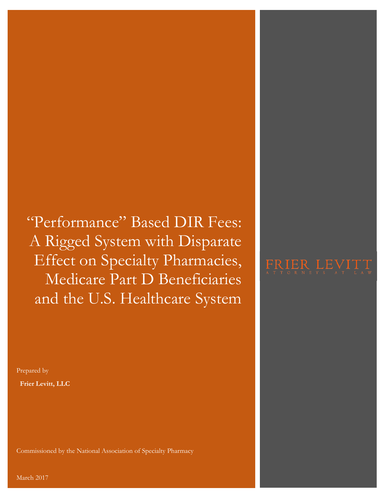"Performance" Based DIR Fees: A Rigged System with Disparate Effect on Specialty Pharmacies, Medicare Part D Beneficiaries and the U.S. Healthcare System

Prepared by  **Frier Levitt, LLC**

Commissioned by the National Association of Specialty Pharmacy

# FRIER LEVITT

March 2017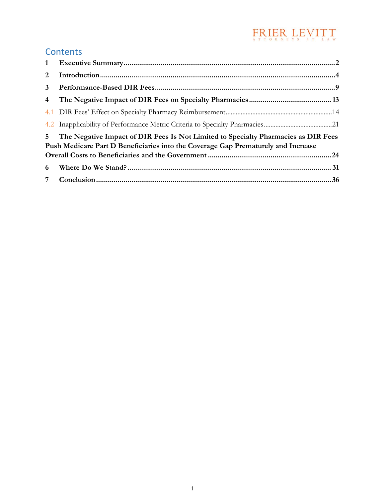# $\underset{\scriptscriptstyle{\wedge}\text{ }T\text{ }\mathsf{T}}{\text{PR}}\underset{\scriptscriptstyle{\wedge}\text{ }B\text{ }\mathsf{N}}{\text{ER}}\underset{\scriptscriptstyle{\wedge}\text{ }T\text{ }\mathsf{N}}{\text{LE}}\underset{\scriptscriptstyle{\wedge}\text{ }T\text{ }\mathsf{N}}{\text{EN}}{\text{L}}\underset{\scriptscriptstyle{\wedge}\text{ }T\text{ }\mathsf{N}}{\text{N}}\text{I}}\text{T}_{\scriptscriptstyle{\wedge}\text{ }\mathsf{N}}\text{T}$

### **Contents**

| $\overline{2}$                                                                                                                                                                            |  |  |  |
|-------------------------------------------------------------------------------------------------------------------------------------------------------------------------------------------|--|--|--|
| $3^{\circ}$                                                                                                                                                                               |  |  |  |
| $\overline{4}$                                                                                                                                                                            |  |  |  |
|                                                                                                                                                                                           |  |  |  |
|                                                                                                                                                                                           |  |  |  |
| 5 <sub>1</sub><br>The Negative Impact of DIR Fees Is Not Limited to Specialty Pharmacies as DIR Fees<br>Push Medicare Part D Beneficiaries into the Coverage Gap Prematurely and Increase |  |  |  |
| 6                                                                                                                                                                                         |  |  |  |
|                                                                                                                                                                                           |  |  |  |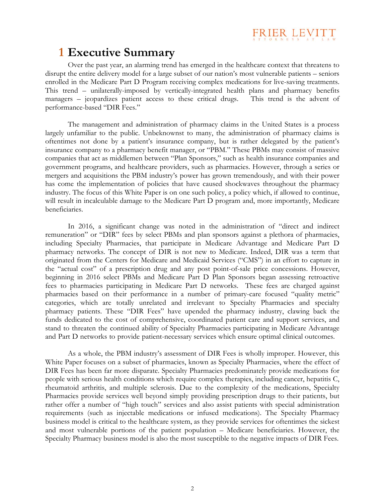### **1 Executive Summary**

Over the past year, an alarming trend has emerged in the healthcare context that threatens to disrupt the entire delivery model for a large subset of our nation's most vulnerable patients – seniors enrolled in the Medicare Part D Program receiving complex medications for live-saving treatments. This trend – unilaterally-imposed by vertically-integrated health plans and pharmacy benefits managers – jeopardizes patient access to these critical drugs. This trend is the advent of performance-based "DIR Fees."

FRIER LEVITT

The management and administration of pharmacy claims in the United States is a process largely unfamiliar to the public. Unbeknownst to many, the administration of pharmacy claims is oftentimes not done by a patient's insurance company, but is rather delegated by the patient's insurance company to a pharmacy benefit manager, or "PBM." These PBMs may consist of massive companies that act as middlemen between "Plan Sponsors," such as health insurance companies and government programs, and healthcare providers, such as pharmacies. However, through a series or mergers and acquisitions the PBM industry's power has grown tremendously, and with their power has come the implementation of policies that have caused shockwaves throughout the pharmacy industry. The focus of this White Paper is on one such policy, a policy which, if allowed to continue, will result in incalculable damage to the Medicare Part D program and, more importantly, Medicare beneficiaries.

In 2016, a significant change was noted in the administration of "direct and indirect remuneration" or "DIR" fees by select PBMs and plan sponsors against a plethora of pharmacies, including Specialty Pharmacies, that participate in Medicare Advantage and Medicare Part D pharmacy networks. The concept of DIR is not new to Medicare. Indeed, DIR was a term that originated from the Centers for Medicare and Medicaid Services ("CMS") in an effort to capture in the "actual cost" of a prescription drug and any post point-of-sale price concessions. However, beginning in 2016 select PBMs and Medicare Part D Plan Sponsors began assessing retroactive fees to pharmacies participating in Medicare Part D networks. These fees are charged against pharmacies based on their performance in a number of primary-care focused "quality metric" categories, which are totally unrelated and irrelevant to Specialty Pharmacies and specialty pharmacy patients. These "DIR Fees" have upended the pharmacy industry, clawing back the funds dedicated to the cost of comprehensive, coordinated patient care and support services, and stand to threaten the continued ability of Specialty Pharmacies participating in Medicare Advantage and Part D networks to provide patient-necessary services which ensure optimal clinical outcomes.

As a whole, the PBM industry's assessment of DIR Fees is wholly improper. However, this White Paper focuses on a subset of pharmacies, known as Specialty Pharmacies, where the effect of DIR Fees has been far more disparate. Specialty Pharmacies predominately provide medications for people with serious health conditions which require complex therapies, including cancer, hepatitis C, rheumatoid arthritis, and multiple sclerosis. Due to the complexity of the medications, Specialty Pharmacies provide services well beyond simply providing prescription drugs to their patients, but rather offer a number of "high touch" services and also assist patients with special administration requirements (such as injectable medications or infused medications). The Specialty Pharmacy business model is critical to the healthcare system, as they provide services for oftentimes the sickest and most vulnerable portions of the patient population – Medicare beneficiaries. However, the Specialty Pharmacy business model is also the most susceptible to the negative impacts of DIR Fees.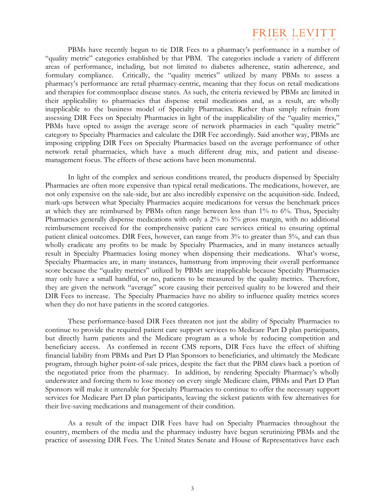

PBMs have recently begun to tie DIR Fees to a pharmacy's performance in a number of "quality metric" categories established by that PBM. The categories include a variety of different areas of performance, including, but not limited to diabetes adherence, statin adherence, and formulary compliance. Critically, the "quality metrics" utilized by many PBMs to assess a pharmacy's performance are retail pharmacy-centric, meaning that they focus on retail medications and therapies for commonplace disease states. As such, the criteria reviewed by PBMs are limited in their applicability to pharmacies that dispense retail medications and, as a result, are wholly inapplicable to the business model of Specialty Pharmacies. Rather than simply refrain from assessing DIR Fees on Specialty Pharmacies in light of the inapplicability of the "quality metrics," PBMs have opted to assign the average score of network pharmacies in each "quality metric" category to Specialty Pharmacies and calculate the DIR Fee accordingly. Said another way, PBMs are imposing crippling DIR Fees on Specialty Pharmacies based on the average performance of other network retail pharmacies, which have a much different drug mix, and patient and diseasemanagement focus. The effects of these actions have been monumental.

In light of the complex and serious conditions treated, the products dispensed by Specialty Pharmacies are often more expensive than typical retail medications. The medications, however, are not only expensive on the sale-side, but are also incredibly expensive on the acquisition-side. Indeed, mark-ups between what Specialty Pharmacies acquire medications for versus the benchmark prices at which they are reimbursed by PBMs often range between less than 1% to 6%. Thus, Specialty Pharmacies generally dispense medications with only a 2% to 5% gross margin, with no additional reimbursement received for the comprehensive patient care services critical to ensuring optimal patient clinical outcomes. DIR Fees, however, can range from 3% to greater than 5%, and can thus wholly eradicate any profits to be made by Specialty Pharmacies, and in many instances actually result in Specialty Pharmacies losing money when dispensing their medications. What's worse, Specialty Pharmacies are, in many instances, hamstrung from improving their overall performance score because the "quality metrics" utilized by PBMs are inapplicable because Specialty Pharmacies may only have a small handful, or no, patients to be measured by the quality metrics. Therefore, they are given the network "average" score causing their perceived quality to be lowered and their DIR Fees to increase. The Specialty Pharmacies have no ability to influence quality metrics scores when they do not have patients in the scored categories.

These performance-based DIR Fees threaten not just the ability of Specialty Pharmacies to continue to provide the required patient care support services to Medicare Part D plan participants, but directly harm patients and the Medicare program as a whole by reducing competition and beneficiary access. As confirmed in recent CMS reports, DIR Fees have the effect of shifting financial liability from PBMs and Part D Plan Sponsors to beneficiaries, and ultimately the Medicare program, through higher point-of-sale prices, despite the fact that the PBM claws back a portion of the negotiated price from the pharmacy. In addition, by rendering Specialty Pharmacy's wholly underwater and forcing them to lose money on every single Medicare claim, PBMs and Part D Plan Sponsors will make it untenable for Specialty Pharmacies to continue to offer the necessary support services for Medicare Part D plan participants, leaving the sickest patients with few alternatives for their live-saving medications and management of their condition.

As a result of the impact DIR Fees have had on Specialty Pharmacies throughout the country, members of the media and the pharmacy industry have begun scrutinizing PBMs and the practice of assessing DIR Fees. The United States Senate and House of Representatives have each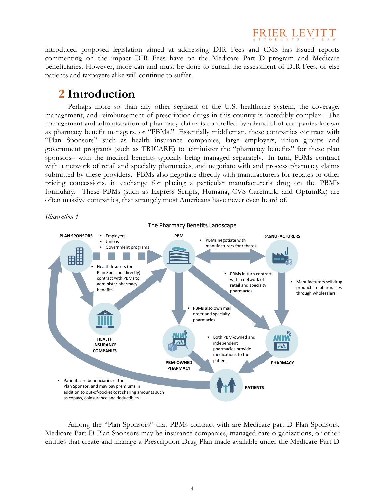

introduced proposed legislation aimed at addressing DIR Fees and CMS has issued reports commenting on the impact DIR Fees have on the Medicare Part D program and Medicare beneficiaries. However, more can and must be done to curtail the assessment of DIR Fees, or else patients and taxpayers alike will continue to suffer.

### **2 Introduction**

Perhaps more so than any other segment of the U.S. healthcare system, the coverage, management, and reimbursement of prescription drugs in this country is incredibly complex. The management and administration of pharmacy claims is controlled by a handful of companies known as pharmacy benefit managers, or "PBMs." Essentially middleman, these companies contract with "Plan Sponsors" such as health insurance companies, large employers, union groups and government programs (such as TRICARE) to administer the "pharmacy benefits" for these plan sponsors– with the medical benefits typically being managed separately. In turn, PBMs contract with a network of retail and specialty pharmacies, and negotiate with and process pharmacy claims submitted by these providers. PBMs also negotiate directly with manufacturers for rebates or other pricing concessions, in exchange for placing a particular manufacturer's drug on the PBM's formulary. These PBMs (such as Express Scripts, Humana, CVS Caremark, and OptumRx) are often massive companies, that strangely most Americans have never even heard of.



Among the "Plan Sponsors" that PBMs contract with are Medicare part D Plan Sponsors. Medicare Part D Plan Sponsors may be insurance companies, managed care organizations, or other entities that create and manage a Prescription Drug Plan made available under the Medicare Part D

4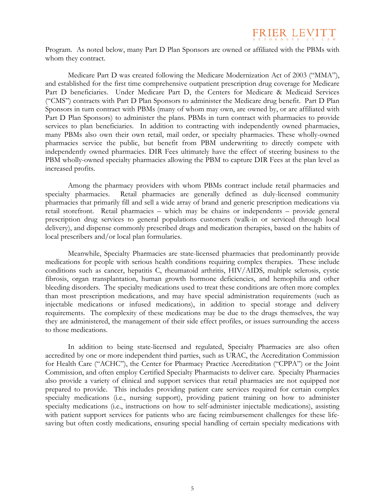

Program. As noted below, many Part D Plan Sponsors are owned or affiliated with the PBMs with whom they contract.

Medicare Part D was created following the Medicare Modernization Act of 2003 ("MMA"), and established for the first time comprehensive outpatient prescription drug coverage for Medicare Part D beneficiaries. Under Medicare Part D, the Centers for Medicare & Medicaid Services ("CMS") contracts with Part D Plan Sponsors to administer the Medicare drug benefit. Part D Plan Sponsors in turn contract with PBMs (many of whom may own, are owned by, or are affiliated with Part D Plan Sponsors) to administer the plans. PBMs in turn contract with pharmacies to provide services to plan beneficiaries. In addition to contracting with independently owned pharmacies, many PBMs also own their own retail, mail order, or specialty pharmacies. These wholly-owned pharmacies service the public, but benefit from PBM underwriting to directly compete with independently owned pharmacies. DIR Fees ultimately have the effect of steering business to the PBM wholly-owned specialty pharmacies allowing the PBM to capture DIR Fees at the plan level as increased profits.

Among the pharmacy providers with whom PBMs contract include retail pharmacies and specialty pharmacies. Retail pharmacies are generally defined as duly-licensed community pharmacies that primarily fill and sell a wide array of brand and generic prescription medications via retail storefront. Retail pharmacies – which may be chains or independents – provide general prescription drug services to general populations customers (walk-in or serviced through local delivery), and dispense commonly prescribed drugs and medication therapies, based on the habits of local prescribers and/or local plan formularies.

Meanwhile, Specialty Pharmacies are state-licensed pharmacies that predominantly provide medications for people with serious health conditions requiring complex therapies. These include conditions such as cancer, hepatitis C, rheumatoid arthritis, HIV/AIDS, multiple sclerosis, cystic fibrosis, organ transplantation, human growth hormone deficiencies, and hemophilia and other bleeding disorders. The specialty medications used to treat these conditions are often more complex than most prescription medications, and may have special administration requirements (such as injectable medications or infused medications), in addition to special storage and delivery requirements. The complexity of these medications may be due to the drugs themselves, the way they are administered, the management of their side effect profiles, or issues surrounding the access to those medications.

In addition to being state-licensed and regulated, Specialty Pharmacies are also often accredited by one or more independent third parties, such as URAC, the Accreditation Commission for Health Care ("ACHC"), the Center for Pharmacy Practice Accreditation ("CPPA") or the Joint Commission, and often employ Certified Specialty Pharmacists to deliver care. Specialty Pharmacies also provide a variety of clinical and support services that retail pharmacies are not equipped nor prepared to provide. This includes providing patient care services required for certain complex specialty medications (i.e., nursing support), providing patient training on how to administer specialty medications (i.e., instructions on how to self-administer injectable medications), assisting with patient support services for patients who are facing reimbursement challenges for these lifesaving but often costly medications, ensuring special handling of certain specialty medications with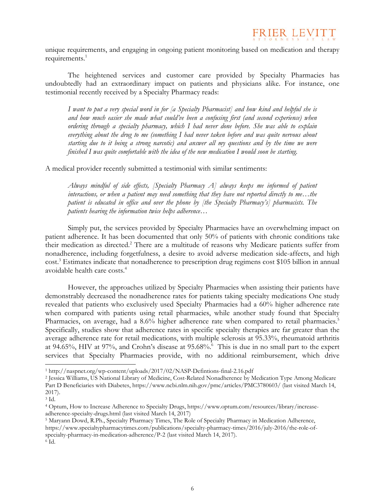

unique requirements, and engaging in ongoing patient monitoring based on medication and therapy requirements.<sup>1</sup>

The heightened services and customer care provided by Specialty Pharmacies has undoubtedly had an extraordinary impact on patients and physicians alike. For instance, one testimonial recently received by a Specialty Pharmacy reads:

*I want to put a very special word in for [a Specialty Pharmacist] and how kind and helpful she is and how much easier she made what could've been a confusing first (and second experience) when ordering through a specialty pharmacy, which I had never done before. She was able to explain everything about the drug to me (something I had never taken before and was quite nervous about starting due to it being a strong narcotic) and answer all my questions and by the time we were finished I was quite comfortable with the idea of the new medication I would soon be starting.* 

A medical provider recently submitted a testimonial with similar sentiments:

*Always mindful of side effects, [Specialty Pharmacy A] always keeps me informed of patient*  interactions, or when a patient may need something that they have not reported directly to me...the *patient is educated in office and over the phone by [the Specialty Pharmacy's] pharmacists. The patients hearing the information twice helps adherence…* 

Simply put, the services provided by Specialty Pharmacies have an overwhelming impact on patient adherence. It has been documented that only 50% of patients with chronic conditions take their medication as directed.<sup>2</sup> There are a multitude of reasons why Medicare patients suffer from nonadherence, including forgetfulness, a desire to avoid adverse medication side-affects, and high cost.3 Estimates indicate that nonadherence to prescription drug regimens cost \$105 billion in annual avoidable health care costs.<sup>4</sup>

However, the approaches utilized by Specialty Pharmacies when assisting their patients have demonstrably decreased the nonadherence rates for patients taking specialty medications One study revealed that patients who exclusively used Specialty Pharmacies had a 60% higher adherence rate when compared with patients using retail pharmacies, while another study found that Specialty Pharmacies, on average, had a 8.6% higher adherence rate when compared to retail pharmacies.<sup>5</sup> Specifically, studies show that adherence rates in specific specialty therapies are far greater than the average adherence rate for retail medications, with multiple sclerosis at 95.33%, rheumatoid arthritis at 94.65%, HIV at 97%, and Crohn's disease at 95.68%.<sup>6</sup> This is due in no small part to the expert services that Specialty Pharmacies provide, with no additional reimbursement, which drive

<sup>1</sup> http://naspnet.org/wp-content/uploads/2017/02/NASP-Defintions-final-2.16.pdf 2 Jessica Williams, US National Library of Medicine, Cost-Related Nonadherence by Medication Type Among Medicare Part D Beneficiaries with Diabetes, https://www.ncbi.nlm.nih.gov/pmc/articles/PMC3780603/ (last visited March 14, 2017).

<sup>3</sup> Id.

<sup>4</sup> Optum, How to Increase Adherence to Specialty Drugs, https://www.optum.com/resources/library/increaseadherence-specialty-drugs.html (last visited March 14, 2017) 5 Marmacy in Medication Adherence, 5 Maryann Dowd, R.Ph., Specialty Pharmacy Times, The Role of Specialty Pharmacy in Medication Adherence,

https://www.specialtypharmacytimes.com/publications/specialty-pharmacy-times/2016/july-2016/the-role-ofspecialty-pharmacy-in-medication-adherence/P-2 (last visited March 14, 2017).<br><sup>6</sup> Id.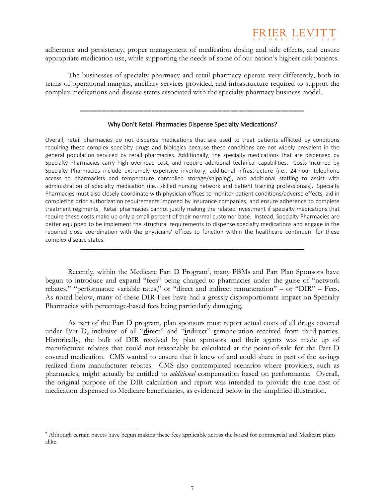## FRIER LEN

adherence and persistency, proper management of medication dosing and side effects, and ensure appropriate medication use, while supporting the needs of some of our nation's highest risk patients.

The businesses of specialty pharmacy and retail pharmacy operate very differently, both in terms of operational margins, ancillary services provided, and infrastructure required to support the complex medications and disease states associated with the specialty pharmacy business model.

#### Why Don't Retail Pharmacies Dispense Specialty Medications?

\_\_\_\_\_\_\_\_\_\_\_\_\_\_\_\_\_\_\_\_\_\_\_\_\_\_\_\_\_\_\_\_\_\_\_\_\_\_\_\_\_\_\_\_\_\_\_\_\_\_\_\_\_\_\_\_\_\_\_\_\_\_\_\_\_\_\_\_\_\_\_\_\_\_\_\_\_\_\_\_\_\_\_\_\_

Overall, retail pharmacies do not dispense medications that are used to treat patients afflicted by conditions requiring these complex specialty drugs and biologics because these conditions are not widely prevalent in the general population serviced by retail pharmacies. Additionally, the specialty medications that are dispensed by Specialty Pharmacies carry high overhead cost, and require additional technical capabilities. Costs incurred by Specialty Pharmacies include extremely expensive inventory, additional infrastructure (i.e., 24‐hour telephone access to pharmacists and temperature controlled storage/shipping), and additional staffing to assist with administration of specialty medication (i.e., skilled nursing network and patient training professionals). Specialty Pharmacies must also closely coordinate with physician offices to monitor patient conditions/adverse effects, aid in completing prior authorization requirements imposed by insurance companies, and ensure adherence to complete treatment regiments. Retail pharmacies cannot justify making the related investment if specialty medications that require these costs make up only a small percent of their normal customer base. Instead, Specialty Pharmacies are better equipped to be implement the structural requirements to dispense specialty medications and engage in the required close coordination with the physicians' offices to function within the healthcare continuum for these complex disease states.

Recently, within the Medicare Part D Program<sup>7</sup>, many PBMs and Part Plan Sponsors have begun to introduce and expand "fees" being charged to pharmacies under the guise of "network rebates," "performance variable rates," or "direct and indirect remuneration" – or "DIR" – Fees. As noted below, many of these DIR Fees have had a grossly disproportionate impact on Specialty Pharmacies with percentage-based fees being particularly damaging.

\_\_\_\_\_\_\_\_\_\_\_\_\_\_\_\_\_\_\_\_\_\_\_\_\_\_\_\_\_\_\_\_\_\_\_\_\_\_\_\_\_\_\_\_\_\_\_\_\_\_\_\_\_\_\_\_\_\_\_\_\_\_\_\_\_\_\_\_\_\_\_\_\_\_\_\_\_\_\_\_\_\_\_\_\_

As part of the Part D program, plan sponsors must report actual costs of all drugs covered under Part D, inclusive of all "**d**irect" and "**i**ndirect" **r**emuneration received from third-parties. Historically, the bulk of DIR received by plan sponsors and their agents was made up of manufacturer rebates that could not reasonably be calculated at the point-of-sale for the Part D covered medication. CMS wanted to ensure that it knew of and could share in part of the savings realized from manufacturer rebates. CMS also contemplated scenarios where providers, such as pharmacies, might actually be entitled to *additional* compensation based on performance. Overall, the original purpose of the DIR calculation and report was intended to provide the true cost of medication dispensed to Medicare beneficiaries, as evidenced below in the simplified illustration.

<sup>7</sup> Although certain payers have begun making these fees applicable across the board for commercial and Medicare plans alike.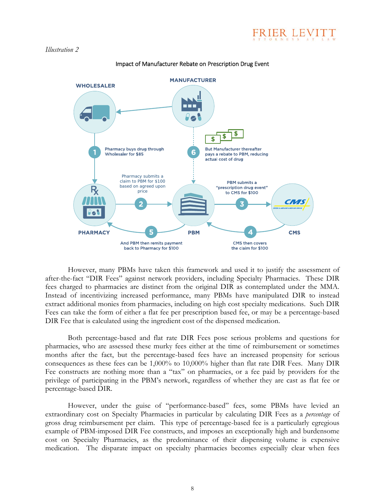

#### *Illustration 2*



#### Impact of Manufacturer Rebate on Prescription Drug Event

However, many PBMs have taken this framework and used it to justify the assessment of after-the-fact "DIR Fees" against network providers, including Specialty Pharmacies. These DIR fees charged to pharmacies are distinct from the original DIR as contemplated under the MMA. Instead of incentivizing increased performance, many PBMs have manipulated DIR to instead extract additional monies from pharmacies, including on high cost specialty medications. Such DIR Fees can take the form of either a flat fee per prescription based fee, or may be a percentage-based DIR Fee that is calculated using the ingredient cost of the dispensed medication.

Both percentage-based and flat rate DIR Fees pose serious problems and questions for pharmacies, who are assessed these murky fees either at the time of reimbursement or sometimes months after the fact, but the percentage-based fees have an increased propensity for serious consequences as these fees can be 1,000% to 10,000% higher than flat rate DIR Fees. Many DIR Fee constructs are nothing more than a "tax" on pharmacies, or a fee paid by providers for the privilege of participating in the PBM's network, regardless of whether they are cast as flat fee or percentage-based DIR.

However, under the guise of "performance-based" fees, some PBMs have levied an extraordinary cost on Specialty Pharmacies in particular by calculating DIR Fees as a *percentage* of gross drug reimbursement per claim. This type of percentage-based fee is a particularly egregious example of PBM-imposed DIR Fee constructs, and imposes an exceptionally high and burdensome cost on Specialty Pharmacies, as the predominance of their dispensing volume is expensive medication. The disparate impact on specialty pharmacies becomes especially clear when fees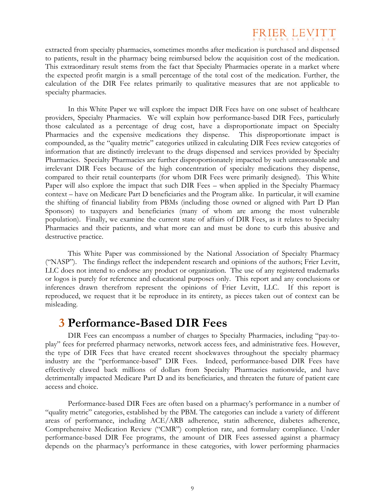

extracted from specialty pharmacies, sometimes months after medication is purchased and dispensed to patients, result in the pharmacy being reimbursed below the acquisition cost of the medication. This extraordinary result stems from the fact that Specialty Pharmacies operate in a market where the expected profit margin is a small percentage of the total cost of the medication. Further, the calculation of the DIR Fee relates primarily to qualitative measures that are not applicable to specialty pharmacies.

In this White Paper we will explore the impact DIR Fees have on one subset of healthcare providers, Specialty Pharmacies. We will explain how performance-based DIR Fees, particularly those calculated as a percentage of drug cost, have a disproportionate impact on Specialty Pharmacies and the expensive medications they dispense. This disproportionate impact is compounded, as the "quality metric" categories utilized in calculating DIR Fees review categories of information that are distinctly irrelevant to the drugs dispensed and services provided by Specialty Pharmacies. Specialty Pharmacies are further disproportionately impacted by such unreasonable and irrelevant DIR Fees because of the high concentration of specialty medications they dispense, compared to their retail counterparts (for whom DIR Fees were primarily designed). This White Paper will also explore the impact that such DIR Fees – when applied in the Specialty Pharmacy context – have on Medicare Part D beneficiaries and the Program alike. In particular, it will examine the shifting of financial liability from PBMs (including those owned or aligned with Part D Plan Sponsors) to taxpayers and beneficiaries (many of whom are among the most vulnerable population). Finally, we examine the current state of affairs of DIR Fees, as it relates to Specialty Pharmacies and their patients, and what more can and must be done to curb this abusive and destructive practice.

This White Paper was commissioned by the National Association of Specialty Pharmacy ("NASP"). The findings reflect the independent research and opinions of the authors; Frier Levitt, LLC does not intend to endorse any product or organization. The use of any registered trademarks or logos is purely for reference and educational purposes only. This report and any conclusions or inferences drawn therefrom represent the opinions of Frier Levitt, LLC. If this report is reproduced, we request that it be reproduce in its entirety, as pieces taken out of context can be misleading.

### **3 Performance-Based DIR Fees**

DIR Fees can encompass a number of charges to Specialty Pharmacies, including "pay-toplay" fees for preferred pharmacy networks, network access fees, and administrative fees. However, the type of DIR Fees that have created recent shockwaves throughout the specialty pharmacy industry are the "performance-based" DIR Fees. Indeed, performance-based DIR Fees have effectively clawed back millions of dollars from Specialty Pharmacies nationwide, and have detrimentally impacted Medicare Part D and its beneficiaries, and threaten the future of patient care access and choice.

Performance-based DIR Fees are often based on a pharmacy's performance in a number of "quality metric" categories, established by the PBM. The categories can include a variety of different areas of performance, including ACE/ARB adherence, statin adherence, diabetes adherence, Comprehensive Medication Review ("CMR") completion rate, and formulary compliance. Under performance-based DIR Fee programs, the amount of DIR Fees assessed against a pharmacy depends on the pharmacy's performance in these categories, with lower performing pharmacies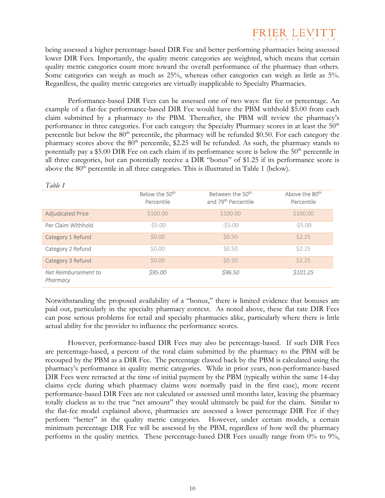

being assessed a higher percentage-based DIR Fee and better performing pharmacies being assessed lower DIR Fees. Importantly, the quality metric categories are weighted, which means that certain quality metric categories count more toward the overall performance of the pharmacy than others. Some categories can weigh as much as 25%, whereas other categories can weigh as little as 5%. Regardless, the quality metric categories are virtually inapplicable to Specialty Pharmacies.

Performance-based DIR Fees can be assessed one of two ways: flat fee or percentage. An example of a flat-fee performance-based DIR Fee would have the PBM withhold \$5.00 from each claim submitted by a pharmacy to the PBM. Thereafter, the PBM will review the pharmacy's performance in three categories. For each category the Specialty Pharmacy scores in at least the 50<sup>th</sup> percentile but below the  $80<sup>th</sup>$  percentile, the pharmacy will be refunded \$0.50. For each category the pharmacy scores above the  $80<sup>th</sup>$  percentile, \$2.25 will be refunded. As such, the pharmacy stands to potentially pay a \$5.00 DIR Fee on each claim if its performance score is below the  $50<sup>th</sup>$  percentile in all three categories, but can potentially receive a DIR "bonus" of \$1.25 if its performance score is above the  $80<sup>th</sup>$  percentile in all three categories. This is illustrated in Table 1 (below).

| 1 able 1                         |                                          |                                                                 |                                          |
|----------------------------------|------------------------------------------|-----------------------------------------------------------------|------------------------------------------|
|                                  | Below the 50 <sup>th</sup><br>Percentile | Between the 50 <sup>th</sup><br>and 79 <sup>th</sup> Percentile | Above the 80 <sup>th</sup><br>Percentile |
| <b>Adjudicated Price</b>         | \$100.00                                 | \$100.00                                                        | \$100.00                                 |
| Per Claim Withhold               | $-55.00$                                 | $-55.00$                                                        | $-55.00$                                 |
| Category 1 Refund                | \$0.00                                   | \$0.50                                                          | \$2.25                                   |
| Category 2 Refund                | \$0.00                                   | \$0.50                                                          | \$2.25                                   |
| Category 3 Refund                | \$0.00                                   | \$0.50                                                          | \$2.25                                   |
| Net Reimbursement to<br>Pharmacy | \$95.00                                  | \$96.50                                                         | \$101.25                                 |

*Table 1* 

Notwithstanding the proposed availability of a "bonus," there is limited evidence that bonuses are paid out, particularly in the specialty pharmacy context. As noted above, these flat rate DIR Fees can pose serious problems for retail and specialty pharmacies alike, particularly where there is little actual ability for the provider to influence the performance scores.

However, performance-based DIR Fees may also be percentage-based. If such DIR Fees are percentage-based, a percent of the total claim submitted by the pharmacy to the PBM will be recouped by the PBM as a DIR Fee. The percentage clawed back by the PBM is calculated using the pharmacy's performance in quality metric categories. While in prior years, non-performance-based DIR Fees were retracted at the time of initial payment by the PBM (typically within the same 14-day claims cycle during which pharmacy claims were normally paid in the first case), more recent performance-based DIR Fees are not calculated or assessed until months later, leaving the pharmacy totally clueless as to the true "net amount" they would ultimately be paid for the claim. Similar to the flat-fee model explained above, pharmacies are assessed a lower percentage DIR Fee if they perform "better" in the quality metric categories. However, under certain models, a certain minimum percentage DIR Fee will be assessed by the PBM, regardless of how well the pharmacy performs in the quality metrics. These percentage-based DIR Fees usually range from 0% to 9%,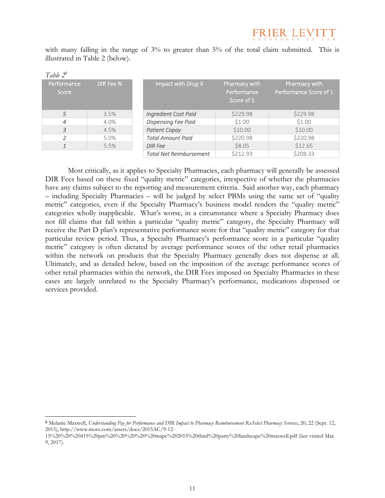with many falling in the range of 3% to greater than 5% of the total claim submitted. This is illustrated in Table 2 (below).

| Table $2^8$          |           |                                |                                            |                                         |  |  |
|----------------------|-----------|--------------------------------|--------------------------------------------|-----------------------------------------|--|--|
| Performance<br>Score | DIR Fee % | Impact with Drug X             | Pharmacy with<br>Performance<br>Score of 5 | Pharmacy with<br>Performance Score of 1 |  |  |
| 5                    | 3.5%      | <b>Ingredient Cost Paid</b>    | \$229.98                                   | \$229.98                                |  |  |
| 4                    | 4.0%      | <b>Dispensing Fee Paid</b>     | \$1.00                                     | \$1.00                                  |  |  |
| 3                    | 4.5%      | <b>Patient Copay</b>           | \$10.00                                    | \$10.00                                 |  |  |
|                      | 5.0%      | <b>Total Amount Paid</b>       | \$220.98                                   | \$220.98                                |  |  |
|                      | 5.5%      | <b>DIR</b> Fee                 | \$8.05                                     | \$12.65                                 |  |  |
|                      |           | <b>Total Net Reimbursement</b> | \$212.93                                   | \$208.33                                |  |  |

Most critically, as it applies to Specialty Pharmacies, each pharmacy will generally be assessed DIR Fees based on these fixed "quality metric" categories, irrespective of whether the pharmacies have any claims subject to the reporting and measurement criteria. Said another way, each pharmacy – including Specialty Pharmacies – will be judged by select PBMs using the same set of "quality metric" categories, even if the Specialty Pharmacy's business model renders the "quality metric" categories wholly inapplicable. What's worse, in a circumstance where a Specialty Pharmacy does not fill claims that fall within a particular "quality metric" category, the Specialty Pharmacy will receive the Part D plan's representative performance score for that "quality metric" category for that particular review period. Thus, a Specialty Pharmacy's performance score in a particular "quality metric" category is often dictated by average performance scores of the other retail pharmacies within the network on products that the Specialty Pharmacy generally does not dispense at all. Ultimately, and as detailed below, based on the imposition of the average performance scores of other retail pharmacies within the network, the DIR Fees imposed on Specialty Pharmacies in these cases are largely unrelated to the Specialty Pharmacy's performance, medications dispensed or services provided.

<sup>8</sup> Melanie Maxwell, *Understanding Pay for Performance and DIR Impact to Pharmacy Reimbursement RxSelect Pharmacy Services*, 20, 22 (Sept. 12, 2015), http://www.morx.com/assets/docs/2015AC/9-12-

<sup>15%20%20%20415%20</sup>pm%20%20%20%20%20mapc%202015%20third%20party%20landscape%20maxwell.pdf (last visited Mar. 9, 2017).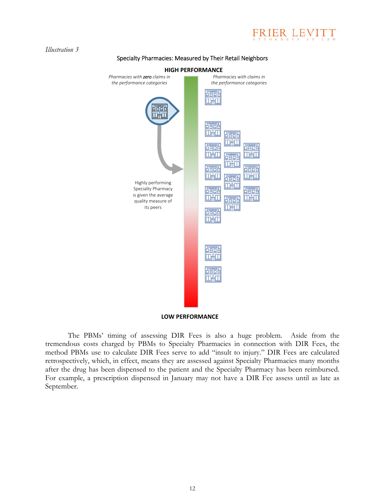

*Illustration 3* 

September.

#### Specialty Pharmacies: Measured by Their Retail Neighbors



The PBMs' timing of assessing DIR Fees is also a huge problem. Aside from the tremendous costs charged by PBMs to Specialty Pharmacies in connection with DIR Fees, the method PBMs use to calculate DIR Fees serve to add "insult to injury." DIR Fees are calculated retrospectively, which, in effect, means they are assessed against Specialty Pharmacies many months after the drug has been dispensed to the patient and the Specialty Pharmacy has been reimbursed. For example, a prescription dispensed in January may not have a DIR Fee assess until as late as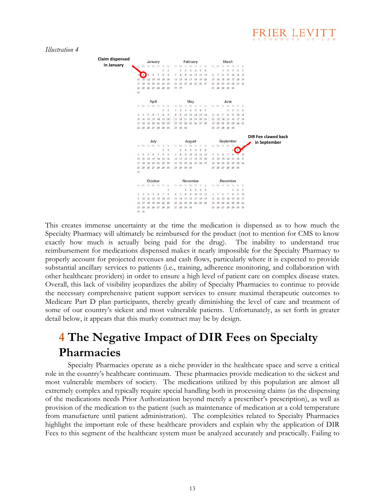## RIER LEVIT

*Illustration 4* 



This creates immense uncertainty at the time the medication is dispensed as to how much the Specialty Pharmacy will ultimately be reimbursed for the product (not to mention for CMS to know exactly how much is actually being paid for the drug). The inability to understand true reimbursement for medications dispensed makes it nearly impossible for the Specialty Pharmacy to properly account for projected revenues and cash flows, particularly where it is expected to provide substantial ancillary services to patients (i.e., training, adherence monitoring, and collaboration with other healthcare providers) in order to ensure a high level of patient care on complex disease states. Overall, this lack of visibility jeopardizes the ability of Specialty Pharmacies to continue to provide the necessary comprehensive patient support services to ensure maximal therapeutic outcomes to Medicare Part D plan participants, thereby greatly diminishing the level of care and treatment of some of our country's sickest and most vulnerable patients. Unfortunately, as set forth in greater detail below, it appears that this murky construct may be by design.

## **4 The Negative Impact of DIR Fees on Specialty Pharmacies**

Specialty Pharmacies operate as a niche provider in the healthcare space and serve a critical role in the country's healthcare continuum. These pharmacies provide medication to the sickest and most vulnerable members of society. The medications utilized by this population are almost all extremely complex and typically require special handling both in processing claims (as the dispensing of the medications needs Prior Authorization beyond merely a prescriber's prescription), as well as provision of the medication to the patient (such as maintenance of medication at a cold temperature from manufacture until patient administration). The complexities related to Specialty Pharmacies highlight the important role of these healthcare providers and explain why the application of DIR Fees to this segment of the healthcare system must be analyzed accurately and practically. Failing to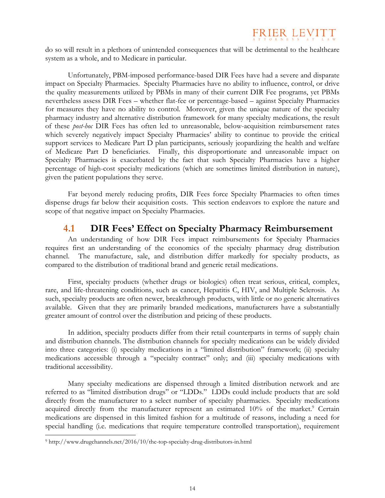

do so will result in a plethora of unintended consequences that will be detrimental to the healthcare system as a whole, and to Medicare in particular.

Unfortunately, PBM-imposed performance-based DIR Fees have had a severe and disparate impact on Specialty Pharmacies. Specialty Pharmacies have no ability to influence, control, or drive the quality measurements utilized by PBMs in many of their current DIR Fee programs, yet PBMs nevertheless assess DIR Fees – whether flat-fee or percentage-based – against Specialty Pharmacies for measures they have no ability to control. Moreover, given the unique nature of the specialty pharmacy industry and alternative distribution framework for many specialty medications, the result of these *post-hoc* DIR Fees has often led to unreasonable, below-acquisition reimbursement rates which severely negatively impact Specialty Pharmacies' ability to continue to provide the critical support services to Medicare Part D plan participants, seriously jeopardizing the health and welfare of Medicare Part D beneficiaries. Finally, this disproportionate and unreasonable impact on Specialty Pharmacies is exacerbated by the fact that such Specialty Pharmacies have a higher percentage of high-cost specialty medications (which are sometimes limited distribution in nature), given the patient populations they serve.

Far beyond merely reducing profits, DIR Fees force Specialty Pharmacies to often times dispense drugs far below their acquisition costs. This section endeavors to explore the nature and scope of that negative impact on Specialty Pharmacies.

#### **4.1 DIR Fees' Effect on Specialty Pharmacy Reimbursement**

An understanding of how DIR Fees impact reimbursements for Specialty Pharmacies requires first an understanding of the economics of the specialty pharmacy drug distribution channel. The manufacture, sale, and distribution differ markedly for specialty products, as compared to the distribution of traditional brand and generic retail medications.

First, specialty products (whether drugs or biologics) often treat serious, critical, complex, rare, and life-threatening conditions, such as cancer, Hepatitis C, HIV, and Multiple Sclerosis. As such, specialty products are often newer, breakthrough products, with little or no generic alternatives available. Given that they are primarily branded medications, manufacturers have a substantially greater amount of control over the distribution and pricing of these products.

In addition, specialty products differ from their retail counterparts in terms of supply chain and distribution channels. The distribution channels for specialty medications can be widely divided into three categories: (i) specialty medications in a "limited distribution" framework; (ii) specialty medications accessible through a "specialty contract" only; and (iii) specialty medications with traditional accessibility.

Many specialty medications are dispensed through a limited distribution network and are referred to as "limited distribution drugs" or "LDDs." LDDs could include products that are sold directly from the manufacturer to a select number of specialty pharmacies. Specialty medications acquired directly from the manufacturer represent an estimated 10% of the market.<sup>9</sup> Certain medications are dispensed in this limited fashion for a multitude of reasons, including a need for special handling (i.e. medications that require temperature controlled transportation), requirement

<sup>9</sup> http://www.drugchannels.net/2016/10/the-top-specialty-drug-distributors-in.html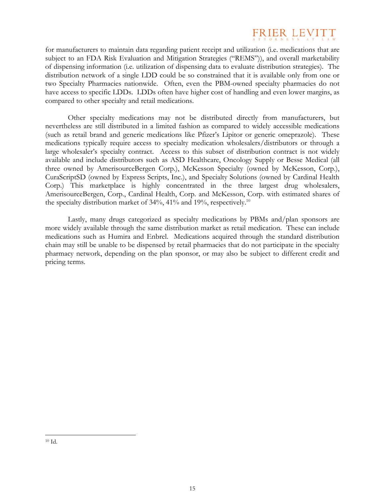

for manufacturers to maintain data regarding patient receipt and utilization (i.e. medications that are subject to an FDA Risk Evaluation and Mitigation Strategies ("REMS")), and overall marketability of dispensing information (i.e. utilization of dispensing data to evaluate distribution strategies). The distribution network of a single LDD could be so constrained that it is available only from one or two Specialty Pharmacies nationwide. Often, even the PBM-owned specialty pharmacies do not have access to specific LDDs. LDDs often have higher cost of handling and even lower margins, as compared to other specialty and retail medications.

Other specialty medications may not be distributed directly from manufacturers, but nevertheless are still distributed in a limited fashion as compared to widely accessible medications (such as retail brand and generic medications like Pfizer's Lipitor or generic omeprazole). These medications typically require access to specialty medication wholesalers/distributors or through a large wholesaler's specialty contract. Access to this subset of distribution contract is not widely available and include distributors such as ASD Healthcare, Oncology Supply or Besse Medical (all three owned by AmerisourceBergen Corp.), McKesson Specialty (owned by McKesson, Corp.), CuraScriptSD (owned by Express Scripts, Inc.), and Specialty Solutions (owned by Cardinal Health Corp.) This marketplace is highly concentrated in the three largest drug wholesalers, AmerisourceBergen, Corp., Cardinal Health, Corp. and McKesson, Corp. with estimated shares of the specialty distribution market of  $34\%$ ,  $41\%$  and  $19\%$ , respectively.<sup>10</sup>

Lastly, many drugs categorized as specialty medications by PBMs and/plan sponsors are more widely available through the same distribution market as retail medication. These can include medications such as Humira and Enbrel. Medications acquired through the standard distribution chain may still be unable to be dispensed by retail pharmacies that do not participate in the specialty pharmacy network, depending on the plan sponsor, or may also be subject to different credit and pricing terms.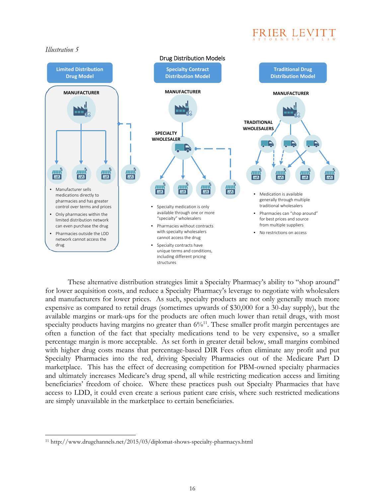



These alternative distribution strategies limit a Specialty Pharmacy's ability to "shop around" for lower acquisition costs, and reduce a Specialty Pharmacy's leverage to negotiate with wholesalers and manufacturers for lower prices. As such, specialty products are not only generally much more expensive as compared to retail drugs (sometimes upwards of \$30,000 for a 30-day supply), but the available margins or mark-ups for the products are often much lower than retail drugs, with most specialty products having margins no greater than  $6\frac{1}{1}$ . These smaller profit margin percentages are often a function of the fact that specialty medications tend to be very expensive, so a smaller percentage margin is more acceptable. As set forth in greater detail below, small margins combined with higher drug costs means that percentage-based DIR Fees often eliminate any profit and put Specialty Pharmacies into the red, driving Specialty Pharmacies out of the Medicare Part D marketplace. This has the effect of decreasing competition for PBM-owned specialty pharmacies and ultimately increases Medicare's drug spend, all while restricting medication access and limiting beneficiaries' freedom of choice. Where these practices push out Specialty Pharmacies that have access to LDD, it could even create a serious patient care crisis, where such restricted medications are simply unavailable in the marketplace to certain beneficiaries.

<sup>11</sup> http://www.drugchannels.net/2015/03/diplomat-shows-specialty-pharmacys.html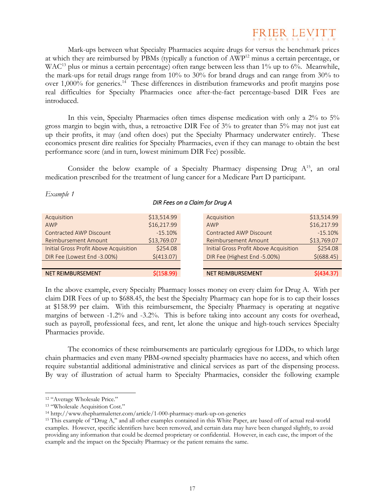

Mark-ups between what Specialty Pharmacies acquire drugs for versus the benchmark prices at which they are reimbursed by PBMs (typically a function of AWP<sup>12</sup> minus a certain percentage, or WAC<sup>13</sup> plus or minus a certain percentage) often range between less than 1% up to 6%. Meanwhile, the mark-ups for retail drugs range from 10% to 30% for brand drugs and can range from 30% to over 1,000% for generics.14 These differences in distribution frameworks and profit margins pose real difficulties for Specialty Pharmacies once after-the-fact percentage-based DIR Fees are introduced.

In this vein, Specialty Pharmacies often times dispense medication with only a 2% to 5% gross margin to begin with, thus, a retroactive DIR Fee of 3% to greater than 5% may not just eat up their profits, it may (and often does) put the Specialty Pharmacy underwater entirely. These economics present dire realities for Specialty Pharmacies, even if they can manage to obtain the best performance score (and in turn, lowest minimum DIR Fee) possible.

Consider the below example of a Specialty Pharmacy dispensing Drug  $A^{15}$ , an oral medication prescribed for the treatment of lung cancer for a Medicare Part D participant.

| DIR Fees on a Claim for Drug A                         |                            |                                                               |                            |  |
|--------------------------------------------------------|----------------------------|---------------------------------------------------------------|----------------------------|--|
| Acquisition<br>AWP                                     | \$13,514.99<br>\$16,217.99 | Acquisition<br>AWP                                            | \$13,514.99<br>\$16,217.99 |  |
| Contracted AWP Discount<br><b>Reimbursement Amount</b> | $-15.10%$<br>\$13,769.07   | <b>Contracted AWP Discount</b><br><b>Reimbursement Amount</b> | $-15.10%$<br>\$13,769.07   |  |
| <b>Initial Gross Profit Above Acquisition</b>          | \$254.08                   | <b>Initial Gross Profit Above Acquisition</b>                 | \$254.08                   |  |
| DIR Fee (Lowest End -3.00%)                            | \$(413.07)                 | DIR Fee (Highest End -5.00%)                                  | $$$ (688.45)               |  |
| <b>NET REIMBURSEMENT</b>                               | \$(158.99)                 | <b>NET REIMBURSEMENT</b>                                      | $$$ (434.37)               |  |

In the above example, every Specialty Pharmacy losses money on every claim for Drug A. With per claim DIR Fees of up to \$688.45, the best the Specialty Pharmacy can hope for is to cap their losses at \$158.99 per claim. With this reimbursement, the Specialty Pharmacy is operating at negative margins of between -1.2% and -3.2%. This is before taking into account any costs for overhead, such as payroll, professional fees, and rent, let alone the unique and high-touch services Specialty Pharmacies provide.

The economics of these reimbursements are particularly egregious for LDDs, to which large chain pharmacies and even many PBM-owned specialty pharmacies have no access, and which often require substantial additional administrative and clinical services as part of the dispensing process. By way of illustration of actual harm to Specialty Pharmacies, consider the following example

*Example 1* 

<sup>12 &</sup>quot;Average Wholesale Price."

<sup>13 &</sup>quot;Wholesale Acquisition Cost."

<sup>14</sup> http://www.thepharmaletter.com/article/1-000-pharmacy-mark-up-on-generics 15 This example of "Drug A," and all other examples contained in this White Paper, are based off of actual real-world examples. However, specific identifiers have been removed, and certain data may have been changed slightly, to avoid providing any information that could be deemed proprietary or confidential. However, in each case, the import of the example and the impact on the Specialty Pharmacy or the patient remains the same.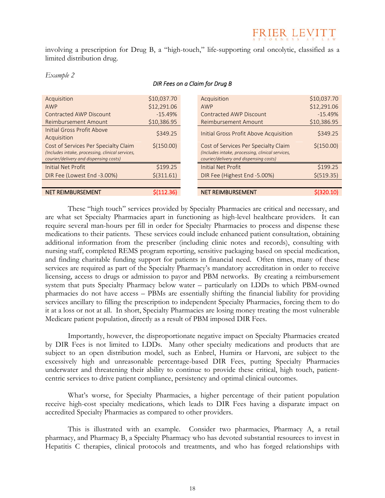## FRIER LEVITT

involving a prescription for Drug B, a "high-touch," life-supporting oral oncolytic, classified as a limited distribution drug.

| <b>NET REIMBURSEMENT</b>                                                                   | \$(112.36)   | <b>NET REIMBURSEMENT</b>                                                                   | S(320.10)   |
|--------------------------------------------------------------------------------------------|--------------|--------------------------------------------------------------------------------------------|-------------|
|                                                                                            |              |                                                                                            |             |
| DIR Fee (Lowest End -3.00%)                                                                | $$$ (311.61) | DIR Fee (Highest End -5.00%)                                                               | \$ (519.35) |
| <b>Initial Net Profit</b>                                                                  | \$199.25     | <b>Initial Net Profit</b>                                                                  | \$199.25    |
| (Includes intake, processing, clinical services,<br>courier/delivery and dispensing costs) |              | (Includes intake, processing, clinical services,<br>courier/delivery and dispensing costs) |             |
| Cost of Services Per Specialty Claim                                                       | \$(150.00)   | Cost of Services Per Specialty Claim                                                       | \$(150.00)  |
| Acquisition                                                                                |              |                                                                                            |             |
| Initial Gross Profit Above                                                                 | \$349.25     | Initial Gross Profit Above Acquisition                                                     | \$349.25    |
| <b>Reimbursement Amount</b>                                                                | \$10,386.95  | <b>Reimbursement Amount</b>                                                                | \$10,386.95 |
| <b>Contracted AWP Discount</b>                                                             | $-15.49%$    | <b>Contracted AWP Discount</b>                                                             | $-15.49%$   |
| AWP                                                                                        | \$12,291.06  | AWP                                                                                        | \$12,291.06 |
| Acquisition                                                                                | \$10,037.70  | Acquisition                                                                                | \$10,037.70 |
|                                                                                            |              |                                                                                            |             |

#### *Example 2*

#### *DIR Fees on a Claim for Drug B*

These "high touch" services provided by Specialty Pharmacies are critical and necessary, and are what set Specialty Pharmacies apart in functioning as high-level healthcare providers. It can require several man-hours per fill in order for Specialty Pharmacies to process and dispense these medications to their patients. These services could include enhanced patient consultation, obtaining additional information from the prescriber (including clinic notes and records), consulting with nursing staff, completed REMS program reporting, sensitive packaging based on special medication, and finding charitable funding support for patients in financial need. Often times, many of these services are required as part of the Specialty Pharmacy's mandatory accreditation in order to receive licensing, access to drugs or admission to payor and PBM networks. By creating a reimbursement system that puts Specialty Pharmacy below water – particularly on LDDs to which PBM-owned pharmacies do not have access – PBMs are essentially shifting the financial liability for providing services ancillary to filling the prescription to independent Specialty Pharmacies, forcing them to do it at a loss or not at all. In short, Specialty Pharmacies are losing money treating the most vulnerable Medicare patient population, directly as a result of PBM imposed DIR Fees.

Importantly, however, the disproportionate negative impact on Specialty Pharmacies created by DIR Fees is not limited to LDDs. Many other specialty medications and products that are subject to an open distribution model, such as Enbrel, Humira or Harvoni, are subject to the excessively high and unreasonable percentage-based DIR Fees, putting Specialty Pharmacies underwater and threatening their ability to continue to provide these critical, high touch, patientcentric services to drive patient compliance, persistency and optimal clinical outcomes.

What's worse, for Specialty Pharmacies, a higher percentage of their patient population receive high-cost specialty medications, which leads to DIR Fees having a disparate impact on accredited Specialty Pharmacies as compared to other providers.

This is illustrated with an example. Consider two pharmacies, Pharmacy A, a retail pharmacy, and Pharmacy B, a Specialty Pharmacy who has devoted substantial resources to invest in Hepatitis C therapies, clinical protocols and treatments, and who has forged relationships with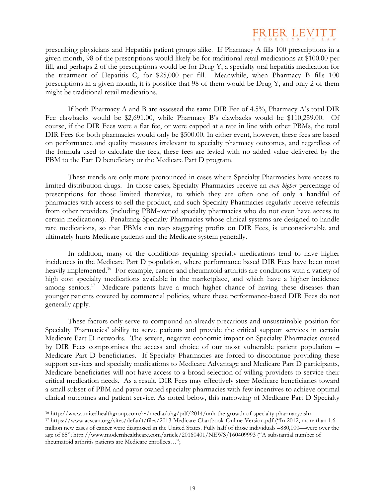

prescribing physicians and Hepatitis patient groups alike. If Pharmacy A fills 100 prescriptions in a given month, 98 of the prescriptions would likely be for traditional retail medications at \$100.00 per fill, and perhaps 2 of the prescriptions would be for Drug Y, a specialty oral hepatitis medication for the treatment of Hepatitis C, for \$25,000 per fill. Meanwhile, when Pharmacy B fills 100 prescriptions in a given month, it is possible that 98 of them would be Drug Y, and only 2 of them might be traditional retail medications.

If both Pharmacy A and B are assessed the same DIR Fee of 4.5%, Pharmacy A's total DIR Fee clawbacks would be \$2,691.00, while Pharmacy B's clawbacks would be \$110,259.00. Of course, if the DIR Fees were a flat fee, or were capped at a rate in line with other PBMs, the total DIR Fees for both pharmacies would only be \$500.00. In either event, however, these fees are based on performance and quality measures irrelevant to specialty pharmacy outcomes, and regardless of the formula used to calculate the fees, these fees are levied with no added value delivered by the PBM to the Part D beneficiary or the Medicare Part D program.

These trends are only more pronounced in cases where Specialty Pharmacies have access to limited distribution drugs. In those cases, Specialty Pharmacies receive an *even higher* percentage of prescriptions for those limited therapies, to which they are often one of only a handful of pharmacies with access to sell the product, and such Specialty Pharmacies regularly receive referrals from other providers (including PBM-owned specialty pharmacies who do not even have access to certain medications). Penalizing Specialty Pharmacies whose clinical systems are designed to handle rare medications, so that PBMs can reap staggering profits on DIR Fees, is unconscionable and ultimately hurts Medicare patients and the Medicare system generally.

In addition, many of the conditions requiring specialty medications tend to have higher incidences in the Medicare Part D population, where performance based DIR Fees have been most heavily implemented.<sup>16</sup> For example, cancer and rheumatoid arthritis are conditions with a variety of high cost specialty medications available in the marketplace, and which have a higher incidence among seniors.<sup>17</sup> Medicare patients have a much higher chance of having these diseases than younger patients covered by commercial policies, where these performance-based DIR Fees do not generally apply.

These factors only serve to compound an already precarious and unsustainable position for Specialty Pharmacies' ability to serve patients and provide the critical support services in certain Medicare Part D networks. The severe, negative economic impact on Specialty Pharmacies caused by DIR Fees compromises the access and choice of our most vulnerable patient population – Medicare Part D beneficiaries. If Specialty Pharmacies are forced to discontinue providing these support services and specialty medications to Medicare Advantage and Medicare Part D participants, Medicare beneficiaries will not have access to a broad selection of willing providers to service their critical medication needs. As a result, DIR Fees may effectively steer Medicare beneficiaries toward a small subset of PBM and payor-owned specialty pharmacies with few incentives to achieve optimal clinical outcomes and patient service. As noted below, this narrowing of Medicare Part D Specialty

<sup>16</sup> http://www.unitedhealthgroup.com/~/media/uhg/pdf/2014/unh-the-growth-of-specialty-pharmacy.ashx 17 https://www.acscan.org/sites/default/files/2013-Medicare-Chartbook-Online-Version.pdf ("In 2012, more than 1.6

million new cases of cancer were diagnosed in the United States. Fully half of those individuals –880,000—were over the age of 65"; http://www.modernhealthcare.com/article/20160401/NEWS/160409993 ("A substantial number of rheumatoid arthritis patients are Medicare enrollees…";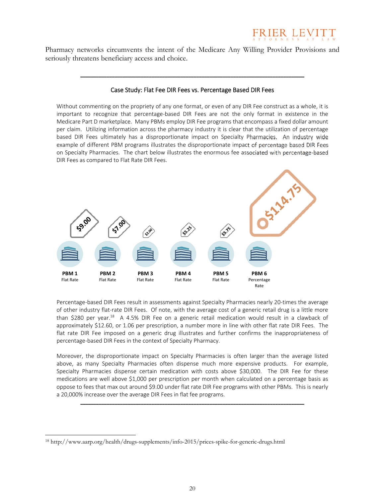

Pharmacy networks circumvents the intent of the Medicare Any Willing Provider Provisions and seriously threatens beneficiary access and choice.

#### Case Study: Flat Fee DIR Fees vs. Percentage Based DIR Fees

\_\_\_\_\_\_\_\_\_\_\_\_\_\_\_\_\_\_\_\_\_\_\_\_\_\_\_\_\_\_\_\_\_\_\_\_\_\_\_\_\_\_\_\_\_\_\_\_\_\_\_\_\_\_\_\_\_\_\_\_\_\_\_\_\_\_\_\_\_\_\_\_\_\_\_\_\_\_\_\_\_\_\_\_\_

Without commenting on the propriety of any one format, or even of any DIR Fee construct as a whole, it is important to recognize that percentage‐based DIR Fees are not the only format in existence in the Medicare Part D marketplace. Many PBMs employ DIR Fee programs that encompass a fixed dollar amount per claim. Utilizing information across the pharmacy industry it is clear that the utilization of percentage based DIR Fees ultimately has a disproportionate impact on Specialty Pharmacies. An industry wide example of different PBM programs illustrates the disproportionate impact of percentage based DIR Fees on Specialty Pharmacies. The chart below illustrates the enormous fee associated with percentage‐based DIR Fees as compared to Flat Rate DIR Fees.



Percentage‐based DIR Fees result in assessments against Specialty Pharmacies nearly 20‐times the average of other industry flat‐rate DIR Fees. Of note, with the average cost of a generic retail drug is a little more than \$280 per year.<sup>18</sup> A 4.5% DIR Fee on a generic retail medication would result in a clawback of approximately \$12.60, or 1.06 per prescription, a number more in line with other flat rate DIR Fees. The flat rate DIR Fee imposed on a generic drug illustrates and further confirms the inappropriateness of percentage‐based DIR Fees in the context of Specialty Pharmacy.

Moreover, the disproportionate impact on Specialty Pharmacies is often larger than the average listed above, as many Specialty Pharmacies often dispense much more expensive products. For example, Specialty Pharmacies dispense certain medication with costs above \$30,000. The DIR Fee for these medications are well above \$1,000 per prescription per month when calculated on a percentage basis as oppose to fees that max out around \$9.00 under flat rate DIR Fee programs with other PBMs. This is nearly a 20,000% increase over the average DIR Fees in flat fee programs.

\_\_\_\_\_\_\_\_\_\_\_\_\_\_\_\_\_\_\_\_\_\_\_\_\_\_\_\_\_\_\_\_\_\_\_\_\_\_\_\_\_\_\_\_\_\_\_\_\_\_\_\_\_\_\_\_\_\_\_\_\_\_\_\_\_\_\_\_\_\_\_\_\_\_\_\_\_\_\_\_\_\_\_\_\_

<sup>18</sup> http://www.aarp.org/health/drugs-supplements/info-2015/prices-spike-for-generic-drugs.html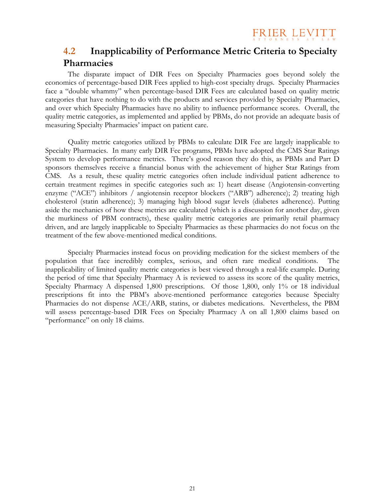FRIER LEVITT

### **4.2 Inapplicability of Performance Metric Criteria to Specialty Pharmacies**

The disparate impact of DIR Fees on Specialty Pharmacies goes beyond solely the economics of percentage-based DIR Fees applied to high-cost specialty drugs. Specialty Pharmacies face a "double whammy" when percentage-based DIR Fees are calculated based on quality metric categories that have nothing to do with the products and services provided by Specialty Pharmacies, and over which Specialty Pharmacies have no ability to influence performance scores. Overall, the quality metric categories, as implemented and applied by PBMs, do not provide an adequate basis of measuring Specialty Pharmacies' impact on patient care.

Quality metric categories utilized by PBMs to calculate DIR Fee are largely inapplicable to Specialty Pharmacies. In many early DIR Fee programs, PBMs have adopted the CMS Star Ratings System to develop performance metrics. There's good reason they do this, as PBMs and Part D sponsors themselves receive a financial bonus with the achievement of higher Star Ratings from CMS. As a result, these quality metric categories often include individual patient adherence to certain treatment regimes in specific categories such as: 1) heart disease (Angiotensin-converting enzyme ("ACE") inhibitors / angiotensin receptor blockers ("ARB") adherence); 2) treating high cholesterol (statin adherence); 3) managing high blood sugar levels (diabetes adherence). Putting aside the mechanics of how these metrics are calculated (which is a discussion for another day, given the murkiness of PBM contracts), these quality metric categories are primarily retail pharmacy driven, and are largely inapplicable to Specialty Pharmacies as these pharmacies do not focus on the treatment of the few above-mentioned medical conditions.

Specialty Pharmacies instead focus on providing medication for the sickest members of the population that face incredibly complex, serious, and often rare medical conditions. inapplicability of limited quality metric categories is best viewed through a real-life example. During the period of time that Specialty Pharmacy A is reviewed to assess its score of the quality metrics, Specialty Pharmacy A dispensed 1,800 prescriptions. Of those 1,800, only 1% or 18 individual prescriptions fit into the PBM's above-mentioned performance categories because Specialty Pharmacies do not dispense ACE/ARB, statins, or diabetes medications. Nevertheless, the PBM will assess percentage-based DIR Fees on Specialty Pharmacy A on all 1,800 claims based on "performance" on only 18 claims.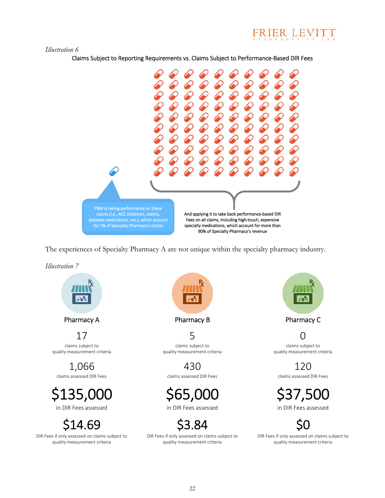

#### *Illustration 6*

Claims Subject to Reporting Requirements vs. Claims Subject to Performance‐Based DIR Fees



The experiences of Specialty Pharmacy A are not unique within the specialty pharmacy industry.

*Illustration 7* 



Pharmacy A **Pharmacy B** Pharmacy B Pharmacy C

17 claims subject to quality measurement criteria

1,066 claims assessed DIR Fees

\$135,000 in DIR Fees assessed

4.69

DIR Fees if only assessed on claims subject to quality measurement criteria



5 claims subject to quality measurement criteria

430 claims assessed DIR Fees

\$65,000

in DIR Fees assessed

\$3.84

DIR Fees if only assessed on claims subject to



0 claims subject to quality measurement criteria

120

claims assessed DIR Fees

\$37,500 in DIR Fees assessed

\$3.84 SO<br>
Solid if only assessed on claims subject to<br>  $\log_{10}$  DIR Fees if only assessed on claims subject to<br>
quality measurement criteria DIR Fees if only assessed on claims subject to<br>quality measurement criteria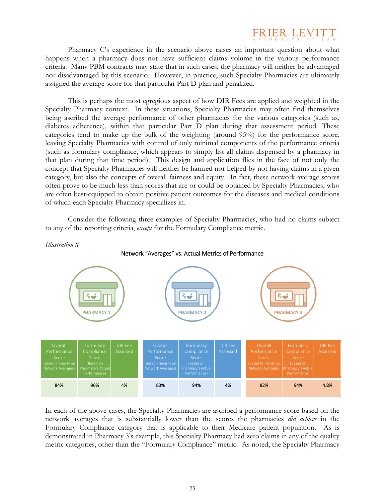

Pharmacy C's experience in the scenario above raises an important question about what happens when a pharmacy does not have sufficient claims volume in the various performance criteria. Many PBM contracts may state that in such cases, the pharmacy will neither be advantaged nor disadvantaged by this scenario. However, in practice, such Specialty Pharmacies are ultimately assigned the average score for that particular Part D plan and penalized.

This is perhaps the most egregious aspect of how DIR Fees are applied and weighted in the Specialty Pharmacy context. In these situations, Specialty Pharmacies may often find themselves being ascribed the average performance of other pharmacies for the various categories (such as, diabetes adherence), within that particular Part D plan during that assessment period. These categories tend to make up the bulk of the weighting (around 95%) for the performance score, leaving Specialty Pharmacies with control of only minimal components of the performance criteria (such as formulary compliance, which appears to simply list all claims dispensed by a pharmacy in that plan during that time period). This design and application flies in the face of not only the concept that Specialty Pharmacies will neither be harmed nor helped by not having claims in a given category, but also the concepts of overall fairness and equity. In fact, these network average scores often prove to be much less than scores that are or could be obtained by Specialty Pharmacies, who are often best-equipped to obtain positive patient outcomes for the diseases and medical conditions of which each Specialty Pharmacy specializes in.

Consider the following three examples of Specialty Pharmacies, who had no claims subject to any of the reporting criteria, *except* for the Formulary Compliance metric.



In each of the above cases, the Specialty Pharmacies are ascribed a performance score based on the network averages that is substantially lower than the scores the pharmacies *did achieve* in the Formulary Compliance category that is applicable to their Medicare patient population. As is demonstrated in Pharmacy 3's example, this Specialty Pharmacy had zero claims in any of the quality metric categories, other than the "Formulary Compliance" metric. As noted, the Specialty Pharmacy

#### *Illustration 8*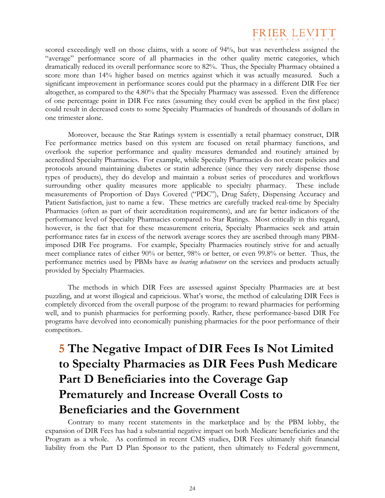

scored exceedingly well on those claims, with a score of 94%, but was nevertheless assigned the "average" performance score of all pharmacies in the other quality metric categories, which dramatically reduced its overall performance score to 82%. Thus, the Specialty Pharmacy obtained a score more than 14% higher based on metrics against which it was actually measured. Such a significant improvement in performance scores could put the pharmacy in a different DIR Fee tier altogether, as compared to the 4.80% that the Specialty Pharmacy was assessed. Even the difference of one percentage point in DIR Fee rates (assuming they could even be applied in the first place) could result in decreased costs to some Specialty Pharmacies of hundreds of thousands of dollars in one trimester alone.

Moreover, because the Star Ratings system is essentially a retail pharmacy construct, DIR Fee performance metrics based on this system are focused on retail pharmacy functions, and overlook the superior performance and quality measures demanded and routinely attained by accredited Specialty Pharmacies. For example, while Specialty Pharmacies do not create policies and protocols around maintaining diabetes or statin adherence (since they very rarely dispense those types of products), they do develop and maintain a robust series of procedures and workflows surrounding other quality measures more applicable to specialty pharmacy. These include measurements of Proportion of Days Covered ("PDC"), Drug Safety, Dispensing Accuracy and Patient Satisfaction, just to name a few. These metrics are carefully tracked real-time by Specialty Pharmacies (often as part of their accreditation requirements), and are far better indicators of the performance level of Specialty Pharmacies compared to Star Ratings. Most critically in this regard, however, is the fact that for these measurement criteria, Specialty Pharmacies seek and attain performance rates far in excess of the network average scores they are ascribed through many PBMimposed DIR Fee programs. For example, Specialty Pharmacies routinely strive for and actually meet compliance rates of either 90% or better, 98% or better, or even 99.8% or better. Thus, the performance metrics used by PBMs have *no bearing whatsoever* on the services and products actually provided by Specialty Pharmacies.

The methods in which DIR Fees are assessed against Specialty Pharmacies are at best puzzling, and at worst illogical and capricious. What's worse, the method of calculating DIR Fees is completely divorced from the overall purpose of the program: to reward pharmacies for performing well, and to punish pharmacies for performing poorly. Rather, these performance-based DIR Fee programs have devolved into economically punishing pharmacies for the poor performance of their competitors.

### **5 The Negative Impact of DIR Fees Is Not Limited to Specialty Pharmacies as DIR Fees Push Medicare Part D Beneficiaries into the Coverage Gap Prematurely and Increase Overall Costs to Beneficiaries and the Government**

Contrary to many recent statements in the marketplace and by the PBM lobby, the expansion of DIR Fees has had a substantial negative impact on both Medicare beneficiaries and the Program as a whole. As confirmed in recent CMS studies, DIR Fees ultimately shift financial liability from the Part D Plan Sponsor to the patient, then ultimately to Federal government,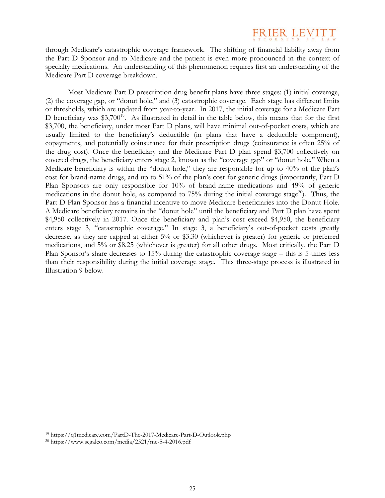## FRIER LEN

through Medicare's catastrophic coverage framework. The shifting of financial liability away from the Part D Sponsor and to Medicare and the patient is even more pronounced in the context of specialty medications. An understanding of this phenomenon requires first an understanding of the Medicare Part D coverage breakdown.

Most Medicare Part D prescription drug benefit plans have three stages: (1) initial coverage, (2) the coverage gap, or "donut hole," and (3) catastrophic coverage. Each stage has different limits or thresholds, which are updated from year-to-year. In 2017, the initial coverage for a Medicare Part D beneficiary was  $$3,700^{19}$ . As illustrated in detail in the table below, this means that for the first \$3,700, the beneficiary, under most Part D plans, will have minimal out-of-pocket costs, which are usually limited to the beneficiary's deductible (in plans that have a deductible component), copayments, and potentially coinsurance for their prescription drugs (coinsurance is often 25% of the drug cost). Once the beneficiary and the Medicare Part D plan spend \$3,700 collectively on covered drugs, the beneficiary enters stage 2, known as the "coverage gap" or "donut hole." When a Medicare beneficiary is within the "donut hole," they are responsible for up to 40% of the plan's cost for brand-name drugs, and up to 51% of the plan's cost for generic drugs (importantly, Part D Plan Sponsors are only responsible for 10% of brand-name medications and 49% of generic medications in the donut hole, as compared to  $75\%$  during the initial coverage stage<sup>20</sup>). Thus, the Part D Plan Sponsor has a financial incentive to move Medicare beneficiaries into the Donut Hole. A Medicare beneficiary remains in the "donut hole" until the beneficiary and Part D plan have spent \$4,950 collectively in 2017. Once the beneficiary and plan's cost exceed \$4,950, the beneficiary enters stage 3, "catastrophic coverage." In stage 3, a beneficiary's out-of-pocket costs greatly decrease, as they are capped at either 5% or \$3.30 (whichever is greater) for generic or preferred medications, and 5% or \$8.25 (whichever is greater) for all other drugs. Most critically, the Part D Plan Sponsor's share decreases to 15% during the catastrophic coverage stage – this is 5-times less than their responsibility during the initial coverage stage. This three-stage process is illustrated in Illustration 9 below.

<sup>19</sup> https://q1medicare.com/PartD-The-2017-Medicare-Part-D-Outlook.php 20 https://www.segalco.com/media/2521/me-5-4-2016.pdf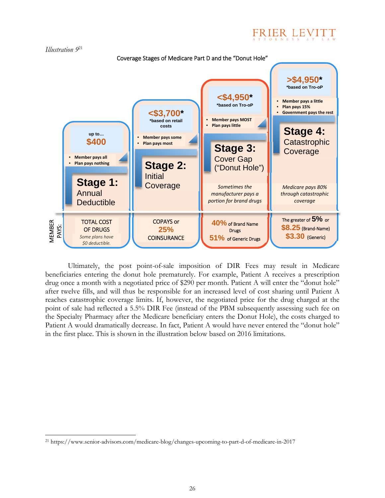



Ultimately, the post point-of-sale imposition of DIR Fees may result in Medicare beneficiaries entering the donut hole prematurely. For example, Patient A receives a prescription drug once a month with a negotiated price of \$290 per month. Patient A will enter the "donut hole" after twelve fills, and will thus be responsible for an increased level of cost sharing until Patient A reaches catastrophic coverage limits. If, however, the negotiated price for the drug charged at the point of sale had reflected a 5.5% DIR Fee (instead of the PBM subsequently assessing such fee on the Specialty Pharmacy after the Medicare beneficiary enters the Donut Hole), the costs charged to Patient A would dramatically decrease. In fact, Patient A would have never entered the "donut hole" in the first place. This is shown in the illustration below based on 2016 limitations.

 $\overline{a}$ 21 https://www.senior-advisors.com/medicare-blog/changes-upcoming-to-part-d-of-medicare-in-2017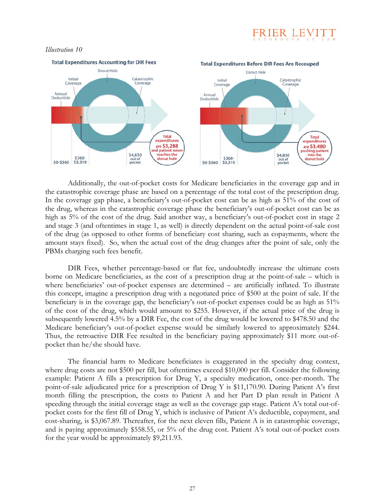

#### *Illustration 10*



Additionally, the out-of-pocket costs for Medicare beneficiaries in the coverage gap and in the catastrophic coverage phase are based on a percentage of the total cost of the prescription drug. In the coverage gap phase, a beneficiary's out-of-pocket cost can be as high as 51% of the cost of the drug, whereas in the catastrophic coverage phase the beneficiary's out-of-pocket cost can be as high as 5% of the cost of the drug. Said another way, a beneficiary's out-of-pocket cost in stage 2 and stage 3 (and oftentimes in stage 1, as well) is directly dependent on the actual point-of-sale cost of the drug (as opposed to other forms of beneficiary cost sharing, such as copayments, where the amount stays fixed). So, when the actual cost of the drug changes after the point of sale, only the PBMs charging such fees benefit.

DIR Fees, whether percentage-based or flat fee, undoubtedly increase the ultimate costs borne on Medicare beneficiaries, as the cost of a prescription drug at the point-of-sale – which is where beneficiaries' out-of-pocket expenses are determined – are artificially inflated. To illustrate this concept, imagine a prescription drug with a negotiated price of \$500 at the point of sale. If the beneficiary is in the coverage gap, the beneficiary's out-of-pocket expenses could be as high as 51% of the cost of the drug, which would amount to \$255. However, if the actual price of the drug is subsequently lowered 4.5% by a DIR Fee, the cost of the drug would be lowered to \$478.50 and the Medicare beneficiary's out-of-pocket expense would be similarly lowered to approximately \$244. Thus, the retroactive DIR Fee resulted in the beneficiary paying approximately \$11 more out-ofpocket than he/she should have.

The financial harm to Medicare beneficiates is exaggerated in the specialty drug context, where drug costs are not \$500 per fill, but oftentimes exceed \$10,000 per fill. Consider the following example: Patient A fills a prescription for Drug Y, a specialty medication, once-per-month. The point-of-sale adjudicated price for a prescription of Drug Y is \$11,170.90. During Patient A's first month filling the prescription, the costs to Patient A and her Part D plan result in Patient A speeding through the initial coverage stage as well as the coverage gap stage. Patient A's total out-ofpocket costs for the first fill of Drug Y, which is inclusive of Patient A's deductible, copayment, and cost-sharing, is  $$3,067.89$ . Thereafter, for the next eleven fills, Patient A is in catastrophic coverage, and is paying approximately \$558.55, or 5% of the drug cost. Patient A's total out-of-pocket costs for the year would be approximately \$9,211.93.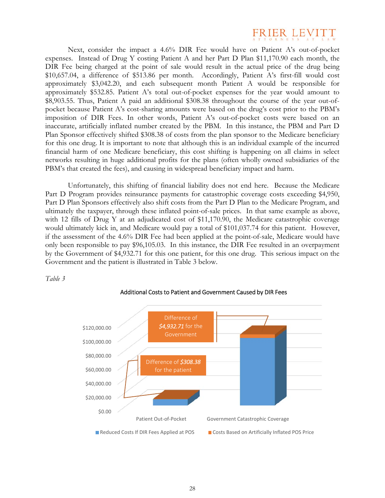

Next, consider the impact a 4.6% DIR Fee would have on Patient A's out-of-pocket expenses. Instead of Drug Y costing Patient A and her Part D Plan \$11,170.90 each month, the DIR Fee being charged at the point of sale would result in the actual price of the drug being \$10,657.04, a difference of \$513.86 per month. Accordingly, Patient A's first-fill would cost approximately \$3,042.20, and each subsequent month Patient A would be responsible for approximately \$532.85. Patient A's total out-of-pocket expenses for the year would amount to \$8,903.55. Thus, Patient A paid an additional \$308.38 throughout the course of the year out-ofpocket because Patient A's cost-sharing amounts were based on the drug's cost prior to the PBM's imposition of DIR Fees. In other words, Patient A's out-of-pocket costs were based on an inaccurate, artificially inflated number created by the PBM. In this instance, the PBM and Part D Plan Sponsor effectively shifted \$308.38 of costs from the plan sponsor to the Medicare beneficiary for this one drug. It is important to note that although this is an individual example of the incurred financial harm of one Medicare beneficiary, this cost shifting is happening on all claims in select networks resulting in huge additional profits for the plans (often wholly owned subsidiaries of the PBM's that created the fees), and causing in widespread beneficiary impact and harm.

Unfortunately, this shifting of financial liability does not end here. Because the Medicare Part D Program provides reinsurance payments for catastrophic coverage costs exceeding \$4,950, Part D Plan Sponsors effectively also shift costs from the Part D Plan to the Medicare Program, and ultimately the taxpayer, through these inflated point-of-sale prices. In that same example as above, with 12 fills of Drug Y at an adjudicated cost of \$11,170.90, the Medicare catastrophic coverage would ultimately kick in, and Medicare would pay a total of \$101,037.74 for this patient. However, if the assessment of the 4.6% DIR Fee had been applied at the point-of-sale, Medicare would have only been responsible to pay \$96,105.03. In this instance, the DIR Fee resulted in an overpayment by the Government of \$4,932.71 for this one patient, for this one drug. This serious impact on the Government and the patient is illustrated in Table 3 below.

*Table 3* 



#### Additional Costs to Patient and Government Caused by DIR Fees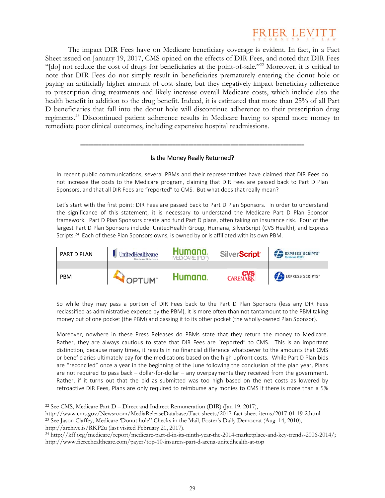

The impact DIR Fees have on Medicare beneficiary coverage is evident. In fact, in a Fact Sheet issued on January 19, 2017, CMS opined on the effects of DIR Fees, and noted that DIR Fees "[do] not reduce the cost of drugs for beneficiaries at the point-of-sale."22 Moreover, it is critical to note that DIR Fees do not simply result in beneficiaries prematurely entering the donut hole or paying an artificially higher amount of cost-share, but they negatively impact beneficiary adherence to prescription drug treatments and likely increase overall Medicare costs, which include also the health benefit in addition to the drug benefit. Indeed, it is estimated that more than 25% of all Part D beneficiaries that fall into the donut hole will discontinue adherence to their prescription drug regiments.23 Discontinued patient adherence results in Medicare having to spend more money to remediate poor clinical outcomes, including expensive hospital readmissions.

#### Is the Money Really Returned?

\_\_\_\_\_\_\_\_\_\_\_\_\_\_\_\_\_\_\_\_\_\_\_\_\_\_\_\_\_\_\_\_\_\_\_\_\_\_\_\_\_\_\_\_\_\_\_\_\_\_\_\_\_\_\_\_\_\_\_\_\_\_\_\_\_\_\_\_\_\_\_\_\_\_\_\_\_\_\_\_\_\_\_\_\_

In recent public communications, several PBMs and their representatives have claimed that DIR Fees do not increase the costs to the Medicare program, claiming that DIR Fees are passed back to Part D Plan Sponsors, and that all DIR Fees are "reported" to CMS. But what does that really mean?

Let's start with the first point: DIR Fees are passed back to Part D Plan Sponsors. In order to understand the significance of this statement, it is necessary to understand the Medicare Part D Plan Sponsor framework. Part D Plan Sponsors create and fund Part D plans, often taking on insurance risk. Four of the largest Part D Plan Sponsors include: UnitedHealth Group, Humana, SilverScript (CVS Health), and Express Scripts.<sup>24</sup> Each of these Plan Sponsors owns, is owned by or is affiliated with its own PBM.

| PART D PLAN | JJJ UnitedHealthcare<br>Medicare Solutions | Humana<br>MEDICARE (PDP) | SilverScript <sup>®</sup> | EXPRESS SCRIPTS  |
|-------------|--------------------------------------------|--------------------------|---------------------------|------------------|
|             |                                            |                          |                           |                  |
| <b>PBM</b>  | OPTUM"                                     | Humana                   | <b>CVS</b><br>CAREMARK    | EXPRESS SCRIPTS* |

So while they may pass a portion of DIR Fees back to the Part D Plan Sponsors (less any DIR Fees reclassified as administrative expense by the PBM), it is more often than not tantamount to the PBM taking money out of one pocket (the PBM) and passing it to its other pocket (the wholly-owned Plan Sponsor).

Moreover, nowhere in these Press Releases do PBMs state that they return the money to Medicare. Rather, they are always cautious to state that DIR Fees are "reported" to CMS. This is an important distinction, because many times, it results in no financial difference whatsoever to the amounts that CMS or beneficiaries ultimately pay for the medications based on the high upfront costs. While Part D Plan bids are "reconciled" once a year in the beginning of the June following the conclusion of the plan year, Plans are not required to pass back – dollar-for-dollar – any overpayments they received from the government. Rather, if it turns out that the bid as submitted was too high based on the net costs as lowered by retroactive DIR Fees, Plans are only required to reimburse any monies to CMS if there is more than a 5%

<sup>&</sup>lt;sup>22</sup> See CMS, Medicare Part  $D -$ Direct and Indirect Remuneration (DIR) (Jan 19. 2017),

http://www.cms.gov/Newsroom/MediaReleaseDatabase/Fact-sheets/2017-fact-sheet-items/2017-01-19-2.html. 23 See Jason Claffey, Medicare 'Donut hole" Checks in the Mail, Foster's Daily Democrat (Aug. 14, 2010),

http://archive.is/RKP2u (last visited February 21, 2017). 24 http://kff.org/medicare/report/medicare-part-d-in-its-ninth-year-the-2014-marketplace-and-key-trends-2006-2014/; http://www.fiercehealthcare.com/payer/top-10-insurers-part-d-arena-unitedhealth-at-top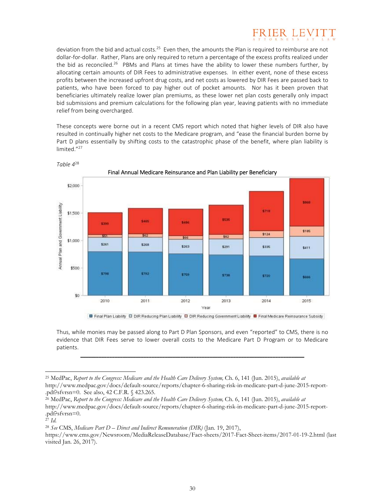

deviation from the bid and actual costs.<sup>25</sup> Even then, the amounts the Plan is required to reimburse are not dollar‐for‐dollar. Rather, Plans are only required to return a percentage of the excess profits realized under the bid as reconciled.<sup>26</sup> PBMs and Plans at times have the ability to lower these numbers further, by allocating certain amounts of DIR Fees to administrative expenses. In either event, none of these excess profits between the increased upfront drug costs, and net costs as lowered by DIR Fees are passed back to patients, who have been forced to pay higher out of pocket amounts. Nor has it been proven that beneficiaries ultimately realize lower plan premiums, as these lower net plan costs generally only impact bid submissions and premium calculations for the following plan year, leaving patients with no immediate relief from being overcharged.

These concepts were borne out in a recent CMS report which noted that higher levels of DIR also have resulted in continually higher net costs to the Medicare program, and "ease the financial burden borne by Part D plans essentially by shifting costs to the catastrophic phase of the benefit, where plan liability is limited."27



*Table 4*<sup>28</sup>

Final Plan Liability D DIR Reducing Plan Liability D DIR Reducing Government Liability D Final Medicare Reinsurance Subsidy

Thus, while monies may be passed along to Part D Plan Sponsors, and even "reported" to CMS, there is no evidence that DIR Fees serve to lower overall costs to the Medicare Part D Program or to Medicare patients.

\_\_\_\_\_\_\_\_\_\_\_\_\_\_\_\_\_\_\_\_\_\_\_\_\_\_\_\_\_\_\_\_\_\_\_\_\_\_\_\_\_\_\_\_\_\_\_\_\_\_\_\_\_\_\_\_\_\_\_\_\_\_\_\_\_\_\_\_\_\_\_\_\_\_\_\_\_\_\_\_\_\_\_\_\_

 $\overline{a}$ 

<sup>28</sup> *See* CMS, *Medicare Part D – Direct and Indirect Remuneration (DIR)* (Jan. 19, 2017),

<sup>25</sup> MedPac, *Report to the Congress: Medicare and the Health Care Delivery System,* Ch. 6, 141 (Jun. 2015), *available at*  http://www.medpac.gov/docs/default-source/reports/chapter-6-sharing-risk-in-medicare-part-d-june-2015-report-

<sup>.</sup>pdf?sfvrsn=0. See also, 42 C.F.R. § 423.265.

<sup>26</sup> MedPac, *Report to the Congress: Medicare and the Health Care Delivery System,* Ch. 6, 141 (Jun. 2015), *available at*  http://www.medpac.gov/docs/default-source/reports/chapter-6-sharing-risk-in-medicare-part-d-june-2015-report- .pdf?sfvrsn=0.

<sup>27</sup> *Id.*

https://www.cms.gov/Newsroom/MediaReleaseDatabase/Fact-sheets/2017-Fact-Sheet-items/2017-01-19-2.html (last visited Jan. 26, 2017).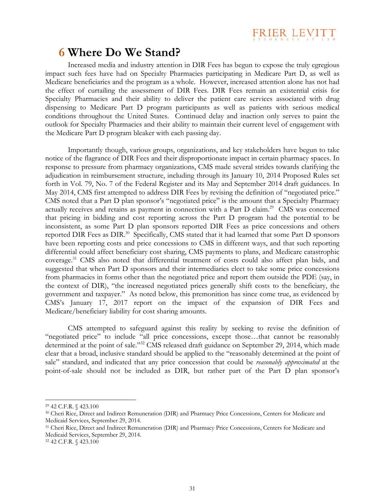

### **6 Where Do We Stand?**

Increased media and industry attention in DIR Fees has begun to expose the truly egregious impact such fees have had on Specialty Pharmacies participating in Medicare Part D, as well as Medicare beneficiaries and the program as a whole. However, increased attention alone has not had the effect of curtailing the assessment of DIR Fees. DIR Fees remain an existential crisis for Specialty Pharmacies and their ability to deliver the patient care services associated with drug dispensing to Medicare Part D program participants as well as patients with serious medical conditions throughout the United States. Continued delay and inaction only serves to paint the outlook for Specialty Pharmacies and their ability to maintain their current level of engagement with the Medicare Part D program bleaker with each passing day.

Importantly though, various groups, organizations, and key stakeholders have begun to take notice of the flagrance of DIR Fees and their disproportionate impact in certain pharmacy spaces. In response to pressure from pharmacy organizations, CMS made several strides towards clarifying the adjudication in reimbursement structure, including through its January 10, 2014 Proposed Rules set forth in Vol. 79, No. 7 of the Federal Register and its May and September 2014 draft guidances. In May 2014, CMS first attempted to address DIR Fees by revising the definition of "negotiated price." CMS noted that a Part D plan sponsor's "negotiated price" is the amount that a Specialty Pharmacy actually receives and retains as payment in connection with a Part D claim.29 CMS was concerned that pricing in bidding and cost reporting across the Part D program had the potential to be inconsistent, as some Part D plan sponsors reported DIR Fees as price concessions and others reported DIR Fees as DIR.<sup>30</sup> Specifically, CMS stated that it had learned that some Part D sponsors have been reporting costs and price concessions to CMS in different ways, and that such reporting differential could affect beneficiary cost sharing, CMS payments to plans, and Medicare catastrophic coverage.31 CMS also noted that differential treatment of costs could also affect plan bids, and suggested that when Part D sponsors and their intermediaries elect to take some price concessions from pharmacies in forms other than the negotiated price and report them outside the PDE (say, in the context of DIR), "the increased negotiated prices generally shift costs to the beneficiary, the government and taxpayer." As noted below, this premonition has since come true, as evidenced by CMS's January 17, 2017 report on the impact of the expansion of DIR Fees and Medicare/beneficiary liability for cost sharing amounts.

CMS attempted to safeguard against this reality by seeking to revise the definition of "negotiated price" to include "all price concessions, except those…that cannot be reasonably determined at the point of sale."32 CMS released draft guidance on September 29, 2014, which made clear that a broad, inclusive standard should be applied to the "reasonably determined at the point of sale" standard, and indicated that any price concession that could be *reasonably approximated* at the point-of-sale should not be included as DIR, but rather part of the Part D plan sponsor's

 $\overline{a}$ 

32 42 C.F.R. § 423.100

<sup>29 42</sup> C.F.R. § 423.100

<sup>30</sup> Cheri Rice, Direct and Indirect Remuneration (DIR) and Pharmacy Price Concessions, Centers for Medicare and Medicaid Services, September 29, 2014.

<sup>31</sup> Cheri Rice, Direct and Indirect Remuneration (DIR) and Pharmacy Price Concessions, Centers for Medicare and Medicaid Services, September 29, 2014.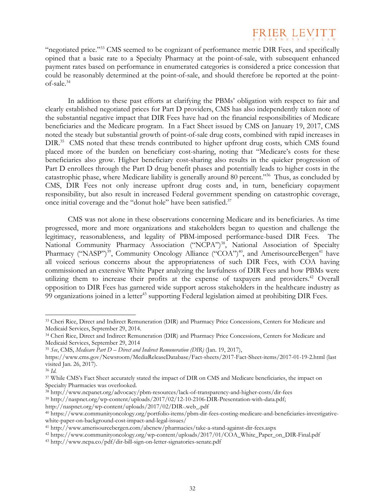## FRIER LEVITT

"negotiated price."33 CMS seemed to be cognizant of performance metric DIR Fees, and specifically opined that a basic rate to a Specialty Pharmacy at the point-of-sale, with subsequent enhanced payment rates based on performance in enumerated categories is considered a price concession that could be reasonably determined at the point-of-sale, and should therefore be reported at the pointof-sale.<sup>34</sup>

In addition to these past efforts at clarifying the PBMs' obligation with respect to fair and clearly established negotiated prices for Part D providers, CMS has also independently taken note of the substantial negative impact that DIR Fees have had on the financial responsibilities of Medicare beneficiaries and the Medicare program. In a Fact Sheet issued by CMS on January 19, 2017, CMS noted the steady but substantial growth of point-of-sale drug costs, combined with rapid increases in DIR.<sup>35</sup> CMS noted that these trends contributed to higher upfront drug costs, which CMS found placed more of the burden on beneficiary cost-sharing, noting that "Medicare's costs for these beneficiaries also grow. Higher beneficiary cost-sharing also results in the quicker progression of Part D enrollees through the Part D drug benefit phases and potentially leads to higher costs in the catastrophic phase, where Medicare liability is generally around 80 percent."36 Thus, as concluded by CMS, DIR Fees not only increase upfront drug costs and, in turn, beneficiary copayment responsibility, but also result in increased Federal government spending on catastrophic coverage, once initial coverage and the "donut hole" have been satisfied.<sup>37</sup>

CMS was not alone in these observations concerning Medicare and its beneficiaries. As time progressed, more and more organizations and stakeholders began to question and challenge the legitimacy, reasonableness, and legality of PBM-imposed performance-based DIR Fees. The National Community Pharmacy Association ("NCPA")<sup>38</sup>, National Association of Specialty Pharmacy ("NASP")<sup>39</sup>, Community Oncology Alliance ("COA")<sup>40</sup>, and AmerisourceBergen<sup>41</sup> have all voiced serious concerns about the appropriateness of such DIR Fees, with COA having commissioned an extensive White Paper analyzing the lawfulness of DIR Fees and how PBMs were utilizing them to increase their profits at the expense of taxpayers and providers.<sup>42</sup> Overall opposition to DIR Fees has garnered wide support across stakeholders in the healthcare industry as 99 organizations joined in a letter<sup>43</sup> supporting Federal legislation aimed at prohibiting DIR Fees.

<sup>35</sup> *See*, CMS, *Medicare Part D – Direct and Indirect Remuneration (DIR)* (Jan. 19, 2017),

<sup>33</sup> Cheri Rice, Direct and Indirect Remuneration (DIR) and Pharmacy Price Concessions, Centers for Medicare and Medicaid Services, September 29, 2014.

<sup>34</sup> Cheri Rice, Direct and Indirect Remuneration (DIR) and Pharmacy Price Concessions, Centers for Medicare and Medicaid Services, September 29, 2014

https://www.cms.gov/Newsroom/MediaReleaseDatabase/Fact-sheets/2017-Fact-Sheet-items/2017-01-19-2.html (last visited Jan. 26, 2017).

<sup>36</sup> *Id.*

<sup>37</sup> While CMS's Fact Sheet accurately stated the impact of DIR on CMS and Medicare beneficiaries, the impact on Specialty Pharmacies was overlooked.<br><sup>38</sup> http://www.ncpanet.org/advocacy/pbm-resources/lack-of-transparency-and-higher-costs/dir-fees

<sup>&</sup>lt;sup>39</sup> http://naspnet.org/wp-content/uploads/2017/02/12-10-2106-DIR-Presentation-with-data.pdf;

http://naspnet.org/wp-content/uploads/2017/02/DIR-.web\_.pdf<br><sup>40</sup> https://www.communityoncology.org/portfolio-items/pbm-dir-fees-costing-medicare-and-beneficiaries-investigativewhite-paper-on-background-cost-impact-and-legal-issues/<br><sup>41</sup> http://www.amerisourcebergen.com/abcnew/pharmacies/take-a-stand-against-dir-fees.aspx<br><sup>42</sup> https://www.communityoncology.org/wp-content/uploads/2017/01/COA\_White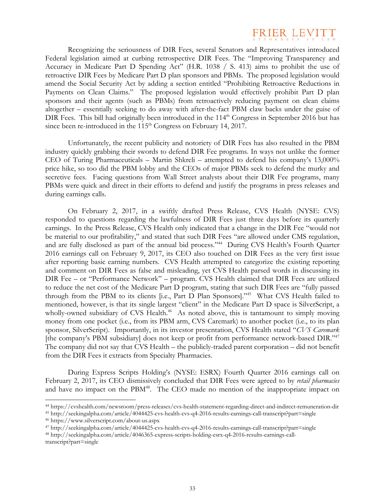

Recognizing the seriousness of DIR Fees, several Senators and Representatives introduced Federal legislation aimed at curbing retrospective DIR Fees. The "Improving Transparency and Accuracy in Medicare Part D Spending Act" (H.R. 1038 / S. 413) aims to prohibit the use of retroactive DIR Fees by Medicare Part D plan sponsors and PBMs. The proposed legislation would amend the Social Security Act by adding a section entitled "Prohibiting Retroactive Reductions in Payments on Clean Claims." The proposed legislation would effectively prohibit Part D plan sponsors and their agents (such as PBMs) from retroactively reducing payment on clean claims altogether – essentially seeking to do away with after-the-fact PBM claw backs under the guise of DIR Fees. This bill had originally been introduced in the  $114<sup>th</sup>$  Congress in September 2016 but has since been re-introduced in the  $115<sup>th</sup>$  Congress on February 14, 2017.

Unfortunately, the recent publicity and notoriety of DIR Fees has also resulted in the PBM industry quickly grabbing their swords to defend DIR Fee programs. In ways not unlike the former CEO of Turing Pharmaceuticals – Martin Shkreli – attempted to defend his company's 13,000% price hike, so too did the PBM lobby and the CEOs of major PBMs seek to defend the murky and secretive fees. Facing questions from Wall Street analysts about their DIR Fee programs, many PBMs were quick and direct in their efforts to defend and justify the programs in press releases and during earnings calls.

On February 2, 2017, in a swiftly drafted Press Release, CVS Health (NYSE: CVS) responded to questions regarding the lawfulness of DIR Fees just three days before its quarterly earnings. In the Press Release, CVS Health only indicated that a change in the DIR Fee "would not be material to our profitability," and stated that such DIR Fees "are allowed under CMS regulation, and are fully disclosed as part of the annual bid process."44 During CVS Health's Fourth Quarter 2016 earnings call on February 9, 2017, its CEO also touched on DIR Fees as the very first issue after reporting basic earning numbers. CVS Health attempted to categorize the existing reporting and comment on DIR Fees as false and misleading, yet CVS Health parsed words in discussing its DIR Fee – or "Performance Network" – program. CVS Health claimed that DIR Fees are utilized to reduce the net cost of the Medicare Part D program, stating that such DIR Fees are "fully passed through from the PBM to its clients [i.e., Part D Plan Sponsors]."45 What CVS Health failed to mentioned, however, is that its single largest "client" in the Medicare Part D space is SilverScript, a wholly-owned subsidiary of CVS Health.<sup>46</sup> As noted above, this is tantamount to simply moving money from one pocket (i.e., from its PBM arm, CVS Caremark) to another pocket (i.e., to its plan sponsor, SilverScript). Importantly, in its investor presentation, CVS Health stated "*CVS Caremark* [the company's PBM subsidiary] does not keep or profit from performance network-based DIR."47 The company did not say that CVS Health – the publicly-traded parent corporation – did not benefit from the DIR Fees it extracts from Specialty Pharmacies.

During Express Scripts Holding's (NYSE: ESRX) Fourth Quarter 2016 earnings call on February 2, 2017, its CEO dismissively concluded that DIR Fees were agreed to by *retail pharmacies* and have no impact on the PBM<sup>48</sup>. The CEO made no mention of the inappropriate impact on

<sup>&</sup>lt;sup>44</sup> https://cvshealth.com/newsroom/press-releases/cvs-health-statement-regarding-direct-and-indirect-remuneration-dir<br><sup>45</sup> http://seekingalpha.com/article/4044425-cvs-health-cvs-q4-2016-results-earnings-call-transcript?pa

transcript?part=single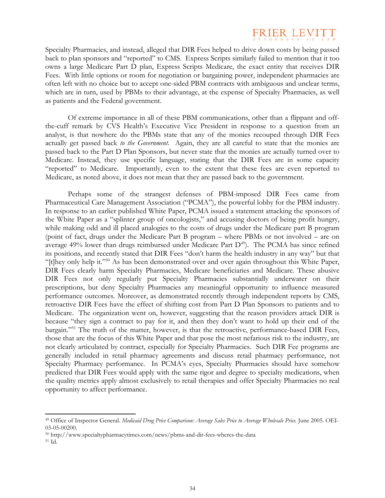

Specialty Pharmacies, and instead, alleged that DIR Fees helped to drive down costs by being passed back to plan sponsors and "reported" to CMS. Express Scripts similarly failed to mention that it too owns a large Medicare Part D plan, Express Scripts Medicare, the exact entity that receives DIR Fees. With little options or room for negotiation or bargaining power, independent pharmacies are often left with no choice but to accept one-sided PBM contracts with ambiguous and unclear terms, which are in turn, used by PBMs to their advantage, at the expense of Specialty Pharmacies, as well as patients and the Federal government.

Of extreme importance in all of these PBM communications, other than a flippant and offthe-cuff remark by CVS Health's Executive Vice President in response to a question from an analyst, is that nowhere do the PBMs state that any of the monies recouped through DIR Fees actually get passed back *to the Government*. Again, they are all careful to state that the monies are passed back to the Part D Plan Sponsors, but never state that the monies are actually turned over to Medicare. Instead, they use specific language, stating that the DIR Fees are in some capacity "reported" to Medicare. Importantly, even to the extent that these fees are even reported to Medicare, as noted above, it does not mean that they are passed back to the government.

Perhaps some of the strangest defenses of PBM-imposed DIR Fees came from Pharmaceutical Care Management Association ("PCMA"), the powerful lobby for the PBM industry. In response to an earlier published White Paper, PCMA issued a statement attacking the sponsors of the White Paper as a "splinter group of oncologists," and accusing doctors of being profit hungry, while making odd and ill placed analogies to the costs of drugs under the Medicare part B program (point of fact, drugs under the Medicare Part B program – where PBMs or not involved – are on average  $49\%$  lower than drugs reimbursed under Medicare Part  $D^{49}$ ). The PCMA has since refined its positions, and recently stated that DIR Fees "don't harm the health industry in any way" but that "[t]hey only help it."50 As has been demonstrated over and over again throughout this White Paper, DIR Fees clearly harm Specialty Pharmacies, Medicare beneficiaries and Medicare. These abusive DIR Fees not only regularly put Specialty Pharmacies substantially underwater on their prescriptions, but deny Specialty Pharmacies any meaningful opportunity to influence measured performance outcomes. Moreover, as demonstrated recently through independent reports by CMS, retroactive DIR Fees have the effect of shifting cost from Part D Plan Sponsors to patients and to Medicare. The organization went on, however, suggesting that the reason providers attack DIR is because "they sign a contract to pay for it, and then they don't want to hold up their end of the bargain."<sup>51</sup> The truth of the matter, however, is that the retroactive, performance-based DIR Fees, those that are the focus of this White Paper and that pose the most nefarious risk to the industry, are not clearly articulated by contract, especially for Specialty Pharmacies. Such DIR Fee programs are generally included in retail pharmacy agreements and discuss retail pharmacy performance, not Specialty Pharmacy performance. In PCMA's eyes, Specialty Pharmacies should have somehow predicted that DIR Fees would apply with the same rigor and degree to specialty medications, when the quality metrics apply almost exclusively to retail therapies and offer Specialty Pharmacies no real opportunity to affect performance.

<sup>49</sup> Office of Inspector General. *Medicaid Drug Price Comparison: Average Sales Price to Average Wholesale Price.* June 2005. OEI-03-05-00200.

<sup>50</sup> http://www.specialtypharmacytimes.com/news/pbms-and-dir-fees-wheres-the-data 51 Id.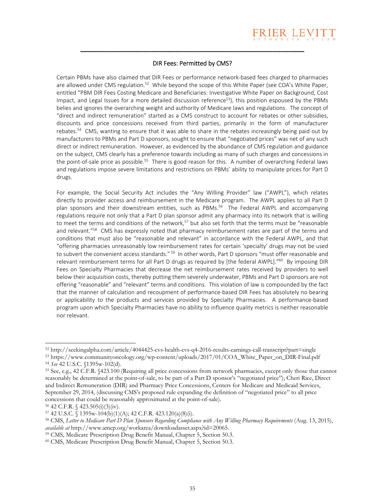

#### DIR Fees: Permitted by CMS?

\_\_\_\_\_\_\_\_\_\_\_\_\_\_\_\_\_\_\_\_\_\_\_\_\_\_\_\_\_\_\_\_\_\_\_\_\_\_\_\_\_\_\_\_\_\_\_\_\_\_\_\_\_\_\_\_\_\_\_\_\_\_\_\_\_\_\_\_\_\_\_\_\_\_\_\_\_\_\_\_\_\_\_\_\_

Certain PBMs have also claimed that DIR Fees or performance network‐based fees charged to pharmacies are allowed under CMS regulation.<sup>52</sup> While beyond the scope of this White Paper (see COA's White Paper, entitled "PBM DIR Fees Costing Medicare and Beneficiaries: Investigative White Paper on Background, Cost Impact, and Legal Issues for a more detailed discussion reference $53$ ), this position espoused by the PBMs belies and ignores the overarching weight and authority of Medicare laws and regulations. The concept of "direct and indirect remuneration" started as a CMS construct to account for rebates or other subsidies, discounts and price concessions received from third parties, primarily in the form of manufacturer rebates.<sup>54</sup> CMS, wanting to ensure that it was able to share in the rebates increasingly being paid out by manufacturers to PBMs and Part D sponsors, sought to ensure that "negotiated prices" was net of any such direct or indirect remuneration. However, as evidenced by the abundance of CMS regulation and guidance on the subject, CMS clearly has a preference towards including as many of such charges and concessions in the point-of-sale price as possible.<sup>55</sup> There is good reason for this. A number of overarching Federal laws and regulations impose severe limitations and restrictions on PBMs' ability to manipulate prices for Part D drugs.

For example, the Social Security Act includes the "Any Willing Provider" law ("AWPL"), which relates directly to provider access and reimbursement in the Medicare program. The AWPL applies to all Part D plan sponsors and their downstream entities, such as PBMs.<sup>56</sup> The Federal AWPL and accompanying regulations require not only that a Part D plan sponsor admit any pharmacy into its network that is willing to meet the terms and conditions of the network,<sup>57</sup> but also set forth that the terms must be "reasonable" and relevant."<sup>58</sup> CMS has expressly noted that pharmacy reimbursement rates are part of the terms and conditions that must also be "reasonable and relevant" in accordance with the Federal AWPL, and that "offering pharmacies unreasonably low reimbursement rates for certain 'specialty' drugs may not be used to subvert the convenient access standards." <sup>59</sup> In other words, Part D sponsors "must offer reasonable and relevant reimbursement terms for all Part D drugs as required by [the federal AWPL]."<sup>60</sup> By imposing DIR Fees on Specialty Pharmacies that decrease the net reimbursement rates received by providers to well below their acquisition costs, thereby putting them severely underwater, PBMs and Part D sponsors are not offering "reasonable" and "relevant" terms and conditions. This violation of law is compounded by the fact that the manner of calculation and recoupment of performance-based DIR Fees has absolutely no bearing or applicability to the products and services provided by Specialty Pharmacies. A performance-based program upon which Specialty Pharmacies have no ability to influence quality metrics is neither reasonable nor relevant.

<sup>&</sup>lt;sup>52</sup> http://seekingalpha.com/article/4044425-cvs-health-cvs-q4-2016-results-earnings-call-transcript?part=single<br><sup>53</sup> https://www.communityoncology.org/wp-content/uploads/2017/01/COA\_White\_Paper\_on\_DIR-Final.pdf<br><sup>54</sup> See

reasonably be determined at the point-of-sale, to be part of a Part D sponsor's "negotiated price"); Cheri Rice, Direct and Indirect Remuneration (DIR) and Pharmacy Price Concessions, Centers for Medicare and Medicaid Services, September 29, 2014, (discussing CMS's proposed rule expanding the definition of "negotiated price" to all price concessions that could be reasonably approximated at the point-of-sale). <sup>56</sup> 42 C.F.R. § 423.505(i)(3)(iv).

<sup>57 42</sup> U.S.C. § 1395w-104(b)(1)(A); 42 C.F.R. 423.120(a)(8)(i). 58 CMS, *Letter to Medicare Part D Plan Sponsors Regarding Compliance with Any Willing Pharmacy Requirements* (Aug. 13, 2015),

*available at* http://www.amcp.org/workarea/downloadasset.aspx?id=20065.<br><sup>59</sup> CMS, Medicare Prescription Drug Benefit Manual, Chapter 5, Section 50.3.<br><sup>60</sup> CMS, Medicare Prescription Drug Benefit Manual, Chapter 5, Section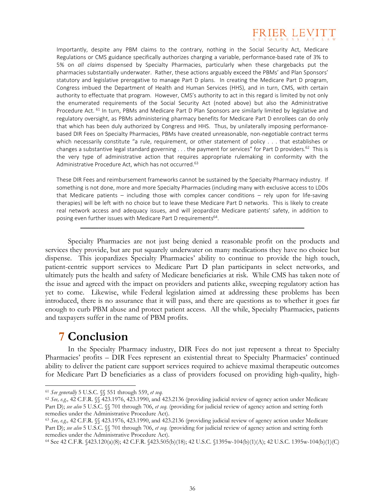

Importantly, despite any PBM claims to the contrary, nothing in the Social Security Act, Medicare Regulations or CMS guidance specifically authorizes charging a variable, performance‐based rate of 3% to 5% on *all claims* dispensed by Specialty Pharmacies, particularly when these chargebacks put the pharmacies substantially underwater. Rather, these actions arguably exceed the PBMs' and Plan Sponsors' statutory and legislative prerogative to manage Part D plans. In creating the Medicare Part D program, Congress imbued the Department of Health and Human Services (HHS), and in turn, CMS, with certain authority to effectuate that program. However, CMS's authority to act in this regard is limited by not only the enumerated requirements of the Social Security Act (noted above) but also the Administrative Procedure Act. <sup>61</sup> In turn, PBMs and Medicare Part D Plan Sponsors are similarly limited by legislative and regulatory oversight, as PBMs administering pharmacy benefits for Medicare Part D enrollees can do only that which has been duly authorized by Congress and HHS. Thus, by unilaterally imposing performance‐ based DIR Fees on Specialty Pharmacies, PBMs have created unreasonable, non‐negotiable contract terms which necessarily constitute "a rule, requirement, or other statement of policy . . . that establishes or changes a substantive legal standard governing . . . the payment for services" for Part D providers.<sup>62</sup> This is the very type of administrative action that requires appropriate rulemaking in conformity with the Administrative Procedure Act, which has not occurred.<sup>63</sup>

These DIR Fees and reimbursement frameworks cannot be sustained by the Specialty Pharmacy industry. If something is not done, more and more Specialty Pharmacies (including many with exclusive access to LDDs that Medicare patients – including those with complex cancer conditions – rely upon for life-saving therapies) will be left with no choice but to leave these Medicare Part D networks. This is likely to create real network access and adequacy issues, and will jeopardize Medicare patients' safety, in addition to posing even further issues with Medicare Part D requirements<sup>64</sup>.

\_\_\_\_\_\_\_\_\_\_\_\_\_\_\_\_\_\_\_\_\_\_\_\_\_\_\_\_\_\_\_\_\_\_\_\_\_\_\_\_\_\_\_\_\_\_\_\_\_\_\_\_\_\_\_\_\_\_\_\_\_\_\_\_\_\_\_\_\_\_\_\_\_\_\_\_\_\_\_\_\_\_\_\_\_

Specialty Pharmacies are not just being denied a reasonable profit on the products and services they provide, but are put squarely underwater on many medications they have no choice but dispense. This jeopardizes Specialty Pharmacies' ability to continue to provide the high touch, patient-centric support services to Medicare Part D plan participants in select networks, and ultimately puts the health and safety of Medicare beneficiaries at risk. While CMS has taken note of the issue and agreed with the impact on providers and patients alike, sweeping regulatory action has yet to come. Likewise, while Federal legislation aimed at addressing these problems has been introduced, there is no assurance that it will pass, and there are questions as to whether it goes far enough to curb PBM abuse and protect patient access. All the while, Specialty Pharmacies, patients and taxpayers suffer in the name of PBM profits.

### **7 Conclusion**

 $\overline{a}$ 

In the Specialty Pharmacy industry, DIR Fees do not just represent a threat to Specialty Pharmacies' profits – DIR Fees represent an existential threat to Specialty Pharmacies' continued ability to deliver the patient care support services required to achieve maximal therapeutic outcomes for Medicare Part D beneficiaries as a class of providers focused on providing high-quality, high-

<sup>61</sup> *See generally* 5 U.S.C. §§ 551 through 559, *et seq.* 62 *See, e.g.,* 42 C.F.R. §§ 423.1976, 423.1990, and 423.2136 (providing judicial review of agency action under Medicare Part D); *see also* 5 U.S.C. §§ 701 through 706, *et seq.* (providing for judicial review of agency action and setting forth remedies under the Administrative Procedure Act).<br><sup>63</sup> *See, e.g.,* 42 C.F.R. §§ 423.1976, 423.1990, and 423.2136 (providing judicial review of agency action under Medicare

Part D); *see also* 5 U.S.C. §§ 701 through 706, *et seq.* (providing for judicial review of agency action and setting forth remedies under the Administrative Procedure Act).<br><sup>64</sup> See 42 C.F.R. §423.120(a)(8); 42 C.F.R. §423.505(b)(18); 42 U.S.C. §1395w-104(b)(1)(A); 42 U.S.C. 1395w-104(b)(1)(C)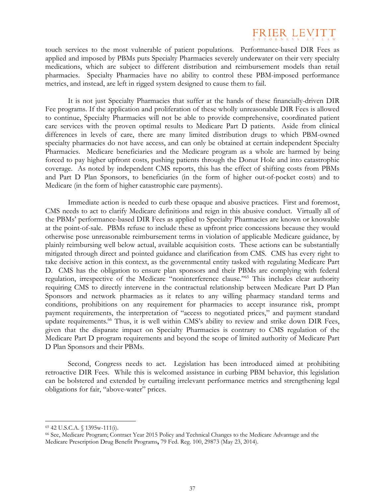## **FRIER L**

touch services to the most vulnerable of patient populations. Performance-based DIR Fees as applied and imposed by PBMs puts Specialty Pharmacies severely underwater on their very specialty medications, which are subject to different distribution and reimbursement models than retail pharmacies. Specialty Pharmacies have no ability to control these PBM-imposed performance metrics, and instead, are left in rigged system designed to cause them to fail.

It is not just Specialty Pharmacies that suffer at the hands of these financially-driven DIR Fee programs. If the application and proliferation of these wholly unreasonable DIR Fees is allowed to continue, Specialty Pharmacies will not be able to provide comprehensive, coordinated patient care services with the proven optimal results to Medicare Part D patients. Aside from clinical differences in levels of care, there are many limited distribution drugs to which PBM-owned specialty pharmacies do not have access, and can only be obtained at certain independent Specialty Pharmacies. Medicare beneficiaries and the Medicare program as a whole are harmed by being forced to pay higher upfront costs, pushing patients through the Donut Hole and into catastrophic coverage. As noted by independent CMS reports, this has the effect of shifting costs from PBMs and Part D Plan Sponsors, to beneficiaries (in the form of higher out-of-pocket costs) and to Medicare (in the form of higher catastrophic care payments).

Immediate action is needed to curb these opaque and abusive practices. First and foremost, CMS needs to act to clarify Medicare definitions and reign in this abusive conduct. Virtually all of the PBMs' performance-based DIR Fees as applied to Specialty Pharmacies are known or knowable at the point-of-sale. PBMs refuse to include these as upfront price concessions because they would otherwise pose unreasonable reimbursement terms in violation of applicable Medicare guidance, by plainly reimbursing well below actual, available acquisition costs. These actions can be substantially mitigated through direct and pointed guidance and clarification from CMS. CMS has every right to take decisive action in this context, as the governmental entity tasked with regulating Medicare Part D. CMS has the obligation to ensure plan sponsors and their PBMs are complying with federal regulation, irrespective of the Medicare "noninterference clause."65 This includes clear authority requiring CMS to directly intervene in the contractual relationship between Medicare Part D Plan Sponsors and network pharmacies as it relates to any willing pharmacy standard terms and conditions, prohibitions on any requirement for pharmacies to accept insurance risk, prompt payment requirements, the interpretation of "access to negotiated prices," and payment standard update requirements.<sup>66</sup> Thus, it is well within CMS's ability to review and strike down DIR Fees, given that the disparate impact on Specialty Pharmacies is contrary to CMS regulation of the Medicare Part D program requirements and beyond the scope of limited authority of Medicare Part D Plan Sponsors and their PBMs.

Second, Congress needs to act. Legislation has been introduced aimed at prohibiting retroactive DIR Fees. While this is welcomed assistance in curbing PBM behavior, this legislation can be bolstered and extended by curtailing irrelevant performance metrics and strengthening legal obligations for fair, "above-water" prices.

<sup>65 42</sup> U.S.C.A. § 1395w-111(i).

<sup>66</sup> See, Medicare Program; Contract Year 2015 Policy and Technical Changes to the Medicare Advantage and the Medicare Prescription Drug Benefit Programs**,** 79 Fed. Reg. 100, 29873 (May 23, 2014).